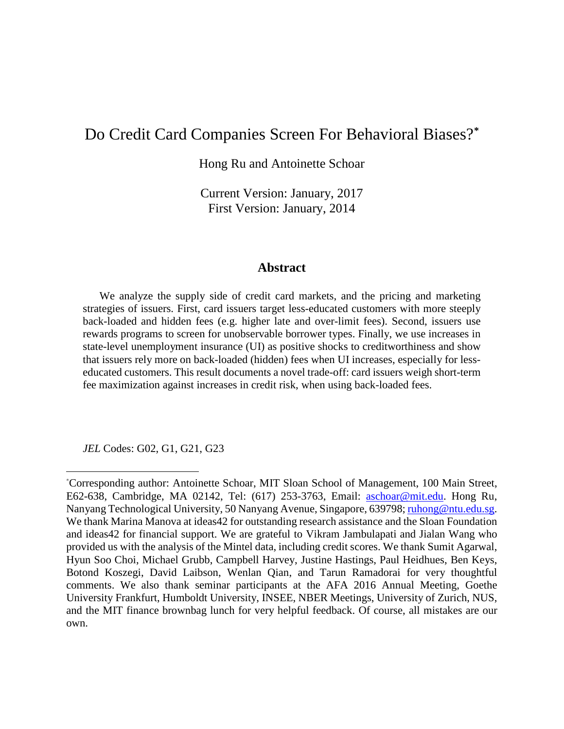# Do Credit Card Companies Screen For Behavioral Biases?**[\\*](#page-0-0)**

Hong Ru and Antoinette Schoar

Current Version: January, 2017 First Version: January, 2014

# **Abstract**

We analyze the supply side of credit card markets, and the pricing and marketing strategies of issuers. First, card issuers target less-educated customers with more steeply back-loaded and hidden fees (e.g. higher late and over-limit fees). Second, issuers use rewards programs to screen for unobservable borrower types. Finally, we use increases in state-level unemployment insurance (UI) as positive shocks to creditworthiness and show that issuers rely more on back-loaded (hidden) fees when UI increases, especially for lesseducated customers. This result documents a novel trade-off: card issuers weigh short-term fee maximization against increases in credit risk, when using back-loaded fees.

*JEL* Codes: G02, G1, G21, G23

<span id="page-0-0"></span>\* Corresponding author: Antoinette Schoar, MIT Sloan School of Management, 100 Main Street, E62-638, Cambridge, MA 02142, Tel: (617) 253-3763, Email: [aschoar@mit.edu.](mailto:aschoar@mit.edu) Hong Ru, Nanyang Technological University, 50 Nanyang Avenue, Singapore, 639798[; ruhong@ntu.edu.sg.](mailto:ruhong@ntu.edu.sg) We thank Marina Manova at ideas42 for outstanding research assistance and the Sloan Foundation and ideas42 for financial support. We are grateful to Vikram Jambulapati and Jialan Wang who provided us with the analysis of the Mintel data, including credit scores. We thank Sumit Agarwal, Hyun Soo Choi, Michael Grubb, Campbell Harvey, Justine Hastings, Paul Heidhues, Ben Keys, Botond Koszegi, David Laibson, Wenlan Qian, and Tarun Ramadorai for very thoughtful comments. We also thank seminar participants at the AFA 2016 Annual Meeting, Goethe University Frankfurt, Humboldt University, INSEE, NBER Meetings, University of Zurich, NUS, and the MIT finance brownbag lunch for very helpful feedback. Of course, all mistakes are our own.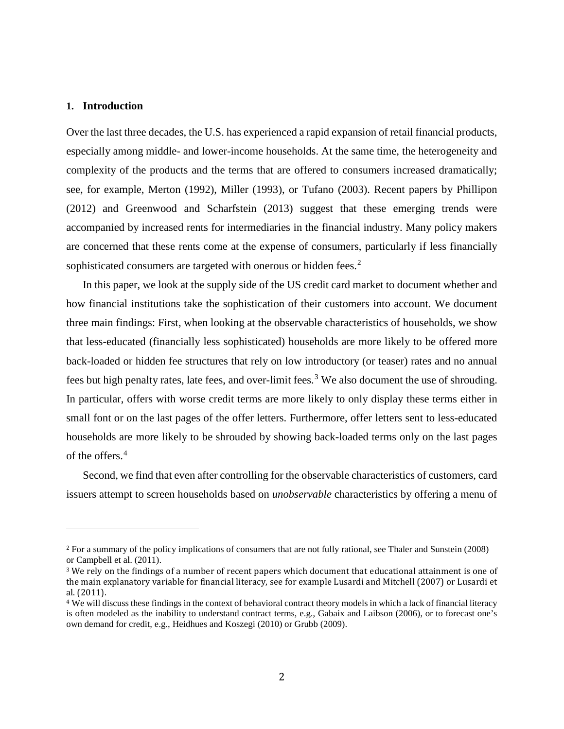## **1. Introduction**

i<br>I

Over the last three decades, the U.S. has experienced a rapid expansion of retail financial products, especially among middle- and lower-income households. At the same time, the heterogeneity and complexity of the products and the terms that are offered to consumers increased dramatically; see, for example, Merton (1992), Miller (1993), or Tufano (2003). Recent papers by Phillipon (2012) and Greenwood and Scharfstein (2013) suggest that these emerging trends were accompanied by increased rents for intermediaries in the financial industry. Many policy makers are concerned that these rents come at the expense of consumers, particularly if less financially sophisticated consumers are targeted with onerous or hidden fees.<sup>[2](#page-1-0)</sup>

In this paper, we look at the supply side of the US credit card market to document whether and how financial institutions take the sophistication of their customers into account. We document three main findings: First, when looking at the observable characteristics of households, we show that less-educated (financially less sophisticated) households are more likely to be offered more back-loaded or hidden fee structures that rely on low introductory (or teaser) rates and no annual fees but high penalty rates, late fees, and over-limit fees.<sup>[3](#page-1-1)</sup> We also document the use of shrouding. In particular, offers with worse credit terms are more likely to only display these terms either in small font or on the last pages of the offer letters. Furthermore, offer letters sent to less-educated households are more likely to be shrouded by showing back-loaded terms only on the last pages of the offers. [4](#page-1-2)

Second, we find that even after controlling for the observable characteristics of customers, card issuers attempt to screen households based on *unobservable* characteristics by offering a menu of

<span id="page-1-0"></span><sup>2</sup> For a summary of the policy implications of consumers that are not fully rational, see Thaler and Sunstein (2008) or Campbell et al. (2011).

<span id="page-1-1"></span><sup>3</sup> We rely on the findings of a number of recent papers which document that educational attainment is one of the main explanatory variable for financial literacy, see for example Lusardi and Mitchell (2007) or Lusardi et al. (2011).

<span id="page-1-2"></span><sup>4</sup> We will discuss these findings in the context of behavioral contract theory models in which a lack of financial literacy is often modeled as the inability to understand contract terms, e.g., Gabaix and Laibson (2006), or to forecast one's own demand for credit, e.g., Heidhues and Koszegi (2010) or Grubb (2009).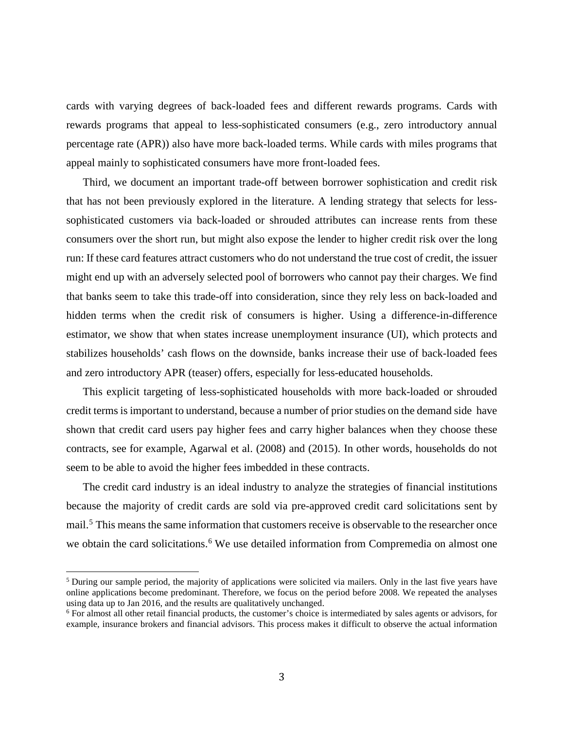cards with varying degrees of back-loaded fees and different rewards programs. Cards with rewards programs that appeal to less-sophisticated consumers (e.g., zero introductory annual percentage rate (APR)) also have more back-loaded terms. While cards with miles programs that appeal mainly to sophisticated consumers have more front-loaded fees.

Third, we document an important trade-off between borrower sophistication and credit risk that has not been previously explored in the literature. A lending strategy that selects for lesssophisticated customers via back-loaded or shrouded attributes can increase rents from these consumers over the short run, but might also expose the lender to higher credit risk over the long run: If these card features attract customers who do not understand the true cost of credit, the issuer might end up with an adversely selected pool of borrowers who cannot pay their charges. We find that banks seem to take this trade-off into consideration, since they rely less on back-loaded and hidden terms when the credit risk of consumers is higher. Using a difference-in-difference estimator, we show that when states increase unemployment insurance (UI), which protects and stabilizes households' cash flows on the downside, banks increase their use of back-loaded fees and zero introductory APR (teaser) offers, especially for less-educated households.

This explicit targeting of less-sophisticated households with more back-loaded or shrouded credit terms is important to understand, because a number of prior studies on the demand side have shown that credit card users pay higher fees and carry higher balances when they choose these contracts, see for example, Agarwal et al. (2008) and (2015). In other words, households do not seem to be able to avoid the higher fees imbedded in these contracts.

The credit card industry is an ideal industry to analyze the strategies of financial institutions because the majority of credit cards are sold via pre-approved credit card solicitations sent by mail.<sup>[5](#page-2-0)</sup> This means the same information that customers receive is observable to the researcher once we obtain the card solicitations.<sup>[6](#page-2-1)</sup> We use detailed information from Compremedia on almost one

<span id="page-2-0"></span><sup>5</sup> During our sample period, the majority of applications were solicited via mailers. Only in the last five years have online applications become predominant. Therefore, we focus on the period before 2008. We repeated the analyses using data up to Jan 2016, and the results are qualitatively unchanged.

<span id="page-2-1"></span><sup>6</sup> For almost all other retail financial products, the customer's choice is intermediated by sales agents or advisors, for example, insurance brokers and financial advisors. This process makes it difficult to observe the actual information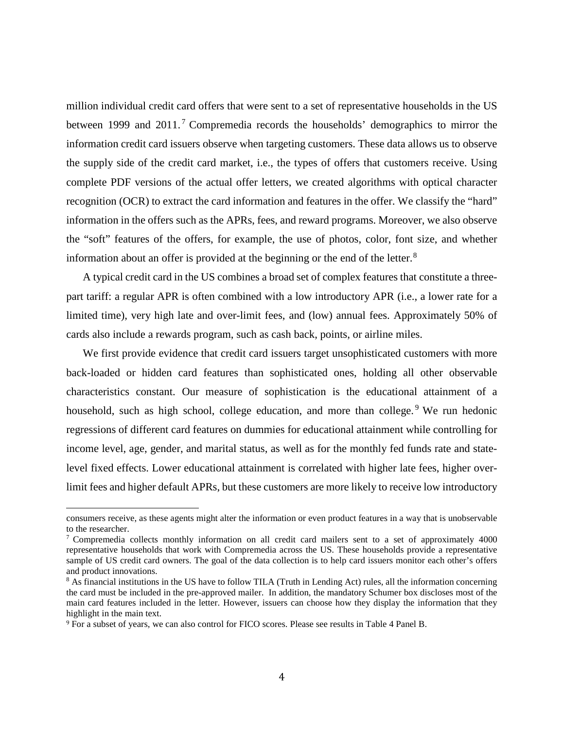million individual credit card offers that were sent to a set of representative households in the US between 1999 and 2011.<sup>[7](#page-3-0)</sup> Compremedia records the households' demographics to mirror the information credit card issuers observe when targeting customers. These data allows us to observe the supply side of the credit card market, i.e., the types of offers that customers receive. Using complete PDF versions of the actual offer letters, we created algorithms with optical character recognition (OCR) to extract the card information and features in the offer. We classify the "hard" information in the offers such as the APRs, fees, and reward programs. Moreover, we also observe the "soft" features of the offers, for example, the use of photos, color, font size, and whether information about an offer is provided at the beginning or the end of the letter.<sup>[8](#page-3-1)</sup>

A typical credit card in the US combines a broad set of complex features that constitute a threepart tariff: a regular APR is often combined with a low introductory APR (i.e., a lower rate for a limited time), very high late and over-limit fees, and (low) annual fees. Approximately 50% of cards also include a rewards program, such as cash back, points, or airline miles.

We first provide evidence that credit card issuers target unsophisticated customers with more back-loaded or hidden card features than sophisticated ones, holding all other observable characteristics constant. Our measure of sophistication is the educational attainment of a household, such as high school, college education, and more than college.<sup>[9](#page-3-2)</sup> We run hedonic regressions of different card features on dummies for educational attainment while controlling for income level, age, gender, and marital status, as well as for the monthly fed funds rate and statelevel fixed effects. Lower educational attainment is correlated with higher late fees, higher overlimit fees and higher default APRs, but these customers are more likely to receive low introductory

consumers receive, as these agents might alter the information or even product features in a way that is unobservable to the researcher.

<span id="page-3-0"></span><sup>7</sup> Compremedia collects monthly information on all credit card mailers sent to a set of approximately 4000 representative households that work with Compremedia across the US. These households provide a representative sample of US credit card owners. The goal of the data collection is to help card issuers monitor each other's offers and product innovations.

<span id="page-3-1"></span><sup>&</sup>lt;sup>8</sup> As financial institutions in the US have to follow TILA (Truth in Lending Act) rules, all the information concerning the card must be included in the pre-approved mailer. In addition, the mandatory Schumer box discloses most of the main card features included in the letter. However, issuers can choose how they display the information that they highlight in the main text.

<span id="page-3-2"></span><sup>9</sup> For a subset of years, we can also control for FICO scores. Please see results in Table 4 Panel B.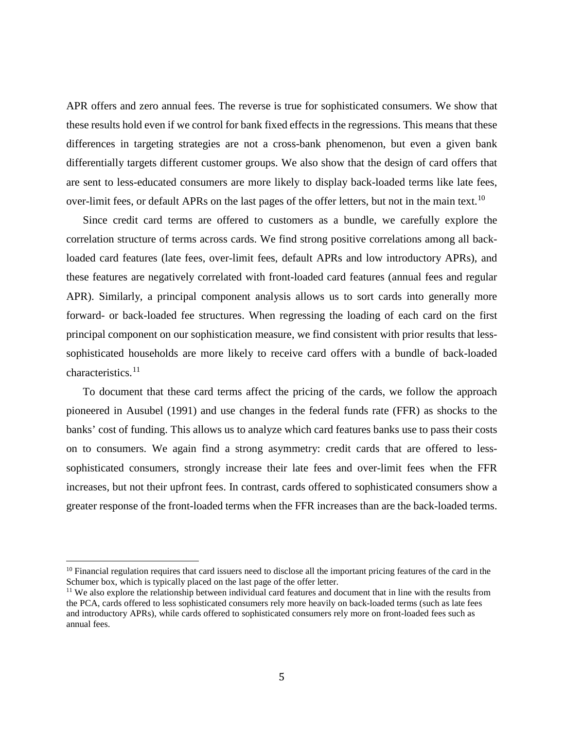APR offers and zero annual fees. The reverse is true for sophisticated consumers. We show that these results hold even if we control for bank fixed effects in the regressions. This means that these differences in targeting strategies are not a cross-bank phenomenon, but even a given bank differentially targets different customer groups. We also show that the design of card offers that are sent to less-educated consumers are more likely to display back-loaded terms like late fees, over-limit fees, or default APRs on the last pages of the offer letters, but not in the main text.<sup>[10](#page-4-0)</sup>

Since credit card terms are offered to customers as a bundle, we carefully explore the correlation structure of terms across cards. We find strong positive correlations among all backloaded card features (late fees, over-limit fees, default APRs and low introductory APRs), and these features are negatively correlated with front-loaded card features (annual fees and regular APR). Similarly, a principal component analysis allows us to sort cards into generally more forward- or back-loaded fee structures. When regressing the loading of each card on the first principal component on our sophistication measure, we find consistent with prior results that lesssophisticated households are more likely to receive card offers with a bundle of back-loaded characteristics.[11](#page-4-1)

To document that these card terms affect the pricing of the cards, we follow the approach pioneered in Ausubel (1991) and use changes in the federal funds rate (FFR) as shocks to the banks' cost of funding. This allows us to analyze which card features banks use to pass their costs on to consumers. We again find a strong asymmetry: credit cards that are offered to lesssophisticated consumers, strongly increase their late fees and over-limit fees when the FFR increases, but not their upfront fees. In contrast, cards offered to sophisticated consumers show a greater response of the front-loaded terms when the FFR increases than are the back-loaded terms.

<span id="page-4-0"></span><sup>&</sup>lt;sup>10</sup> Financial regulation requires that card issuers need to disclose all the important pricing features of the card in the Schumer box, which is typically placed on the last page of the offer letter.

<span id="page-4-1"></span><sup>&</sup>lt;sup>11</sup> We also explore the relationship between individual card features and document that in line with the results from the PCA, cards offered to less sophisticated consumers rely more heavily on back-loaded terms (such as late fees and introductory APRs), while cards offered to sophisticated consumers rely more on front-loaded fees such as annual fees.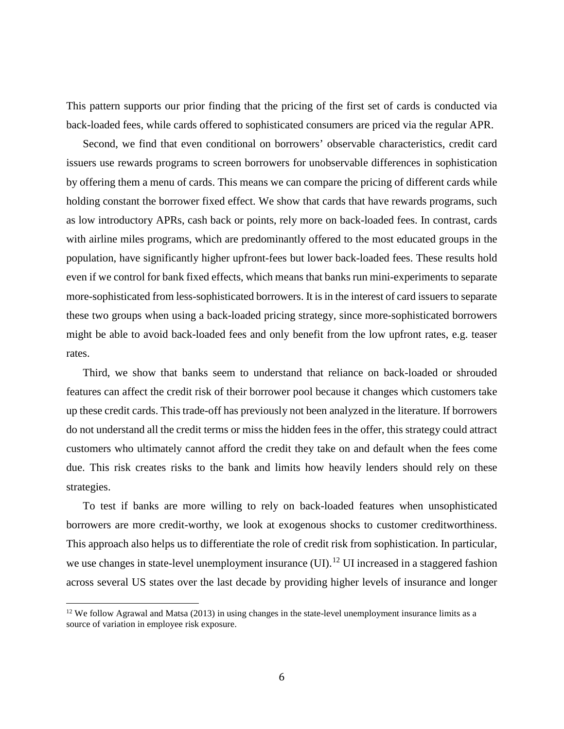This pattern supports our prior finding that the pricing of the first set of cards is conducted via back-loaded fees, while cards offered to sophisticated consumers are priced via the regular APR.

Second, we find that even conditional on borrowers' observable characteristics, credit card issuers use rewards programs to screen borrowers for unobservable differences in sophistication by offering them a menu of cards. This means we can compare the pricing of different cards while holding constant the borrower fixed effect. We show that cards that have rewards programs, such as low introductory APRs, cash back or points, rely more on back-loaded fees. In contrast, cards with airline miles programs, which are predominantly offered to the most educated groups in the population, have significantly higher upfront-fees but lower back-loaded fees. These results hold even if we control for bank fixed effects, which means that banks run mini-experiments to separate more-sophisticated from less-sophisticated borrowers. It is in the interest of card issuers to separate these two groups when using a back-loaded pricing strategy, since more-sophisticated borrowers might be able to avoid back-loaded fees and only benefit from the low upfront rates, e.g. teaser rates.

Third, we show that banks seem to understand that reliance on back-loaded or shrouded features can affect the credit risk of their borrower pool because it changes which customers take up these credit cards. This trade-off has previously not been analyzed in the literature. If borrowers do not understand all the credit terms or miss the hidden fees in the offer, this strategy could attract customers who ultimately cannot afford the credit they take on and default when the fees come due. This risk creates risks to the bank and limits how heavily lenders should rely on these strategies.

To test if banks are more willing to rely on back-loaded features when unsophisticated borrowers are more credit-worthy, we look at exogenous shocks to customer creditworthiness. This approach also helps us to differentiate the role of credit risk from sophistication. In particular, we use changes in state-level unemployment insurance  $(UI)$ .<sup>[12](#page-5-0)</sup> UI increased in a staggered fashion across several US states over the last decade by providing higher levels of insurance and longer

<span id="page-5-0"></span><sup>&</sup>lt;sup>12</sup> We follow Agrawal and Matsa (2013) in using changes in the state-level unemployment insurance limits as a source of variation in employee risk exposure.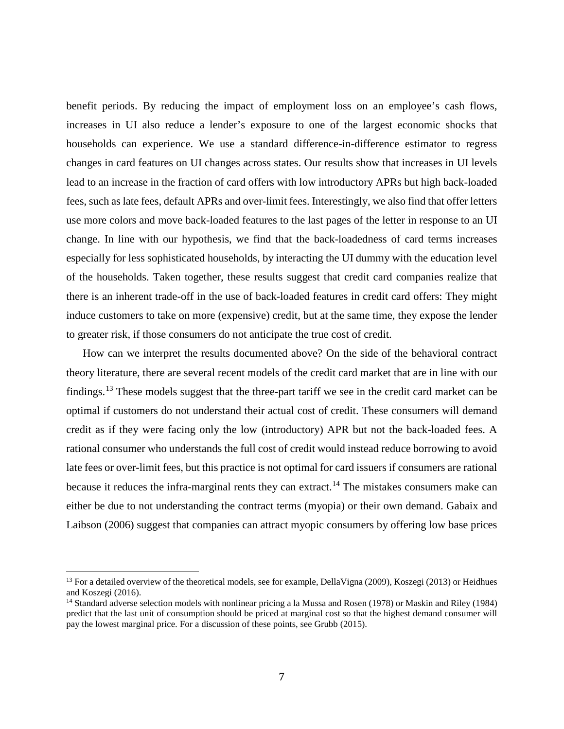benefit periods. By reducing the impact of employment loss on an employee's cash flows, increases in UI also reduce a lender's exposure to one of the largest economic shocks that households can experience. We use a standard difference-in-difference estimator to regress changes in card features on UI changes across states. Our results show that increases in UI levels lead to an increase in the fraction of card offers with low introductory APRs but high back-loaded fees, such as late fees, default APRs and over-limit fees. Interestingly, we also find that offer letters use more colors and move back-loaded features to the last pages of the letter in response to an UI change. In line with our hypothesis, we find that the back-loadedness of card terms increases especially for less sophisticated households, by interacting the UI dummy with the education level of the households. Taken together, these results suggest that credit card companies realize that there is an inherent trade-off in the use of back-loaded features in credit card offers: They might induce customers to take on more (expensive) credit, but at the same time, they expose the lender to greater risk, if those consumers do not anticipate the true cost of credit.

How can we interpret the results documented above? On the side of the behavioral contract theory literature, there are several recent models of the credit card market that are in line with our findings.<sup>[13](#page-6-0)</sup> These models suggest that the three-part tariff we see in the credit card market can be optimal if customers do not understand their actual cost of credit. These consumers will demand credit as if they were facing only the low (introductory) APR but not the back-loaded fees. A rational consumer who understands the full cost of credit would instead reduce borrowing to avoid late fees or over-limit fees, but this practice is not optimal for card issuers if consumers are rational because it reduces the infra-marginal rents they can extract.<sup>[14](#page-6-1)</sup> The mistakes consumers make can either be due to not understanding the contract terms (myopia) or their own demand. Gabaix and Laibson (2006) suggest that companies can attract myopic consumers by offering low base prices

<span id="page-6-0"></span> $13$  For a detailed overview of the theoretical models, see for example, DellaVigna (2009), Koszegi (2013) or Heidhues and Koszegi (2016).

<span id="page-6-1"></span><sup>&</sup>lt;sup>14</sup> Standard adverse selection models with nonlinear pricing a la Mussa and Rosen (1978) or Maskin and Riley (1984) predict that the last unit of consumption should be priced at marginal cost so that the highest demand consumer will pay the lowest marginal price. For a discussion of these points, see Grubb (2015).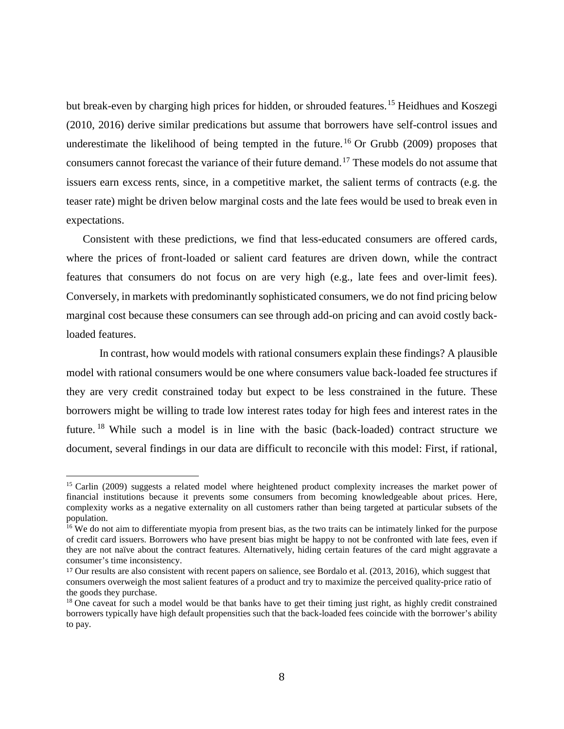but break-even by charging high prices for hidden, or shrouded features. [15](#page-7-0) Heidhues and Koszegi (2010, 2016) derive similar predications but assume that borrowers have self-control issues and underestimate the likelihood of being tempted in the future.<sup>[16](#page-7-1)</sup> Or Grubb (2009) proposes that consumers cannot forecast the variance of their future demand.<sup>[17](#page-7-2)</sup> These models do not assume that issuers earn excess rents, since, in a competitive market, the salient terms of contracts (e.g. the teaser rate) might be driven below marginal costs and the late fees would be used to break even in expectations.

Consistent with these predictions, we find that less-educated consumers are offered cards, where the prices of front-loaded or salient card features are driven down, while the contract features that consumers do not focus on are very high (e.g., late fees and over-limit fees). Conversely, in markets with predominantly sophisticated consumers, we do not find pricing below marginal cost because these consumers can see through add-on pricing and can avoid costly backloaded features.

In contrast, how would models with rational consumers explain these findings? A plausible model with rational consumers would be one where consumers value back-loaded fee structures if they are very credit constrained today but expect to be less constrained in the future. These borrowers might be willing to trade low interest rates today for high fees and interest rates in the future. [18](#page-7-3) While such a model is in line with the basic (back-loaded) contract structure we document, several findings in our data are difficult to reconcile with this model: First, if rational,

<span id="page-7-0"></span><sup>&</sup>lt;sup>15</sup> Carlin (2009) suggests a related model where heightened product complexity increases the market power of financial institutions because it prevents some consumers from becoming knowledgeable about prices. Here, complexity works as a negative externality on all customers rather than being targeted at particular subsets of the population.

<span id="page-7-1"></span><sup>&</sup>lt;sup>16</sup> We do not aim to differentiate myopia from present bias, as the two traits can be intimately linked for the purpose of credit card issuers. Borrowers who have present bias might be happy to not be confronted with late fees, even if they are not naïve about the contract features. Alternatively, hiding certain features of the card might aggravate a consumer's time inconsistency.

<span id="page-7-2"></span><sup>&</sup>lt;sup>17</sup> Our results are also consistent with recent papers on salience, see Bordalo et al. (2013, 2016), which suggest that consumers overweigh the most salient features of a product and try to maximize the perceived quality-price ratio of the goods they purchase.

<span id="page-7-3"></span><sup>&</sup>lt;sup>18</sup> One caveat for such a model would be that banks have to get their timing just right, as highly credit constrained borrowers typically have high default propensities such that the back-loaded fees coincide with the borrower's ability to pay.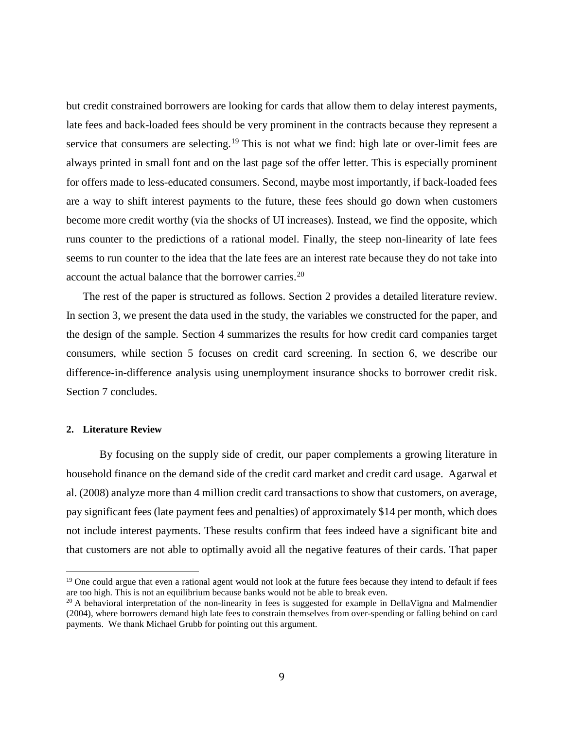but credit constrained borrowers are looking for cards that allow them to delay interest payments, late fees and back-loaded fees should be very prominent in the contracts because they represent a service that consumers are selecting.<sup>[19](#page-8-0)</sup> This is not what we find: high late or over-limit fees are always printed in small font and on the last page sof the offer letter. This is especially prominent for offers made to less-educated consumers. Second, maybe most importantly, if back-loaded fees are a way to shift interest payments to the future, these fees should go down when customers become more credit worthy (via the shocks of UI increases). Instead, we find the opposite, which runs counter to the predictions of a rational model. Finally, the steep non-linearity of late fees seems to run counter to the idea that the late fees are an interest rate because they do not take into account the actual balance that the borrower carries.<sup>[20](#page-8-1)</sup>

The rest of the paper is structured as follows. Section 2 provides a detailed literature review. In section 3, we present the data used in the study, the variables we constructed for the paper, and the design of the sample. Section 4 summarizes the results for how credit card companies target consumers, while section 5 focuses on credit card screening. In section 6, we describe our difference-in-difference analysis using unemployment insurance shocks to borrower credit risk. Section 7 concludes.

#### **2. Literature Review**

By focusing on the supply side of credit, our paper complements a growing literature in household finance on the demand side of the credit card market and credit card usage. Agarwal et al. (2008) analyze more than 4 million credit card transactions to show that customers, on average, pay significant fees (late payment fees and penalties) of approximately \$14 per month, which does not include interest payments. These results confirm that fees indeed have a significant bite and that customers are not able to optimally avoid all the negative features of their cards. That paper

<span id="page-8-0"></span> $<sup>19</sup>$  One could argue that even a rational agent would not look at the future fees because they intend to default if fees</sup> are too high. This is not an equilibrium because banks would not be able to break even.

<span id="page-8-1"></span><sup>&</sup>lt;sup>20</sup> A behavioral interpretation of the non-linearity in fees is suggested for example in DellaVigna and Malmendier (2004), where borrowers demand high late fees to constrain themselves from over-spending or falling behind on card payments. We thank Michael Grubb for pointing out this argument.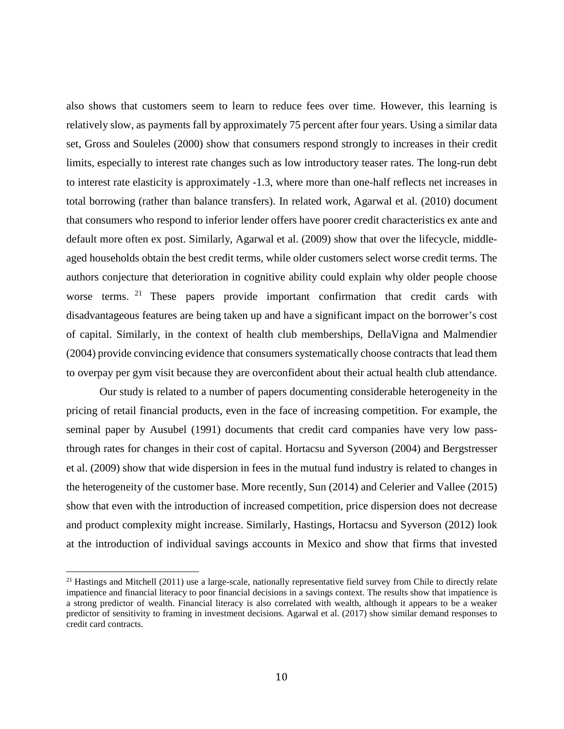also shows that customers seem to learn to reduce fees over time. However, this learning is relatively slow, as payments fall by approximately 75 percent after four years. Using a similar data set, Gross and Souleles (2000) show that consumers respond strongly to increases in their credit limits, especially to interest rate changes such as low introductory teaser rates. The long-run debt to interest rate elasticity is approximately -1.3, where more than one-half reflects net increases in total borrowing (rather than balance transfers). In related work, Agarwal et al. (2010) document that consumers who respond to inferior lender offers have poorer credit characteristics ex ante and default more often ex post. Similarly, Agarwal et al. (2009) show that over the lifecycle, middleaged households obtain the best credit terms, while older customers select worse credit terms. The authors conjecture that deterioration in cognitive ability could explain why older people choose worse terms. <sup>[21](#page-9-0)</sup> These papers provide important confirmation that credit cards with disadvantageous features are being taken up and have a significant impact on the borrower's cost of capital. Similarly, in the context of health club memberships, DellaVigna and Malmendier (2004) provide convincing evidence that consumers systematically choose contracts that lead them to overpay per gym visit because they are overconfident about their actual health club attendance.

Our study is related to a number of papers documenting considerable heterogeneity in the pricing of retail financial products, even in the face of increasing competition. For example, the seminal paper by Ausubel (1991) documents that credit card companies have very low passthrough rates for changes in their cost of capital. Hortacsu and Syverson (2004) and Bergstresser et al. (2009) show that wide dispersion in fees in the mutual fund industry is related to changes in the heterogeneity of the customer base. More recently, Sun (2014) and Celerier and Vallee (2015) show that even with the introduction of increased competition, price dispersion does not decrease and product complexity might increase. Similarly, Hastings, Hortacsu and Syverson (2012) look at the introduction of individual savings accounts in Mexico and show that firms that invested

<span id="page-9-0"></span> $21$  Hastings and Mitchell (2011) use a large-scale, nationally representative field survey from Chile to directly relate impatience and financial literacy to poor financial decisions in a savings context. The results show that impatience is a strong predictor of wealth. Financial literacy is also correlated with wealth, although it appears to be a weaker predictor of sensitivity to framing in investment decisions. Agarwal et al. (2017) show similar demand responses to credit card contracts.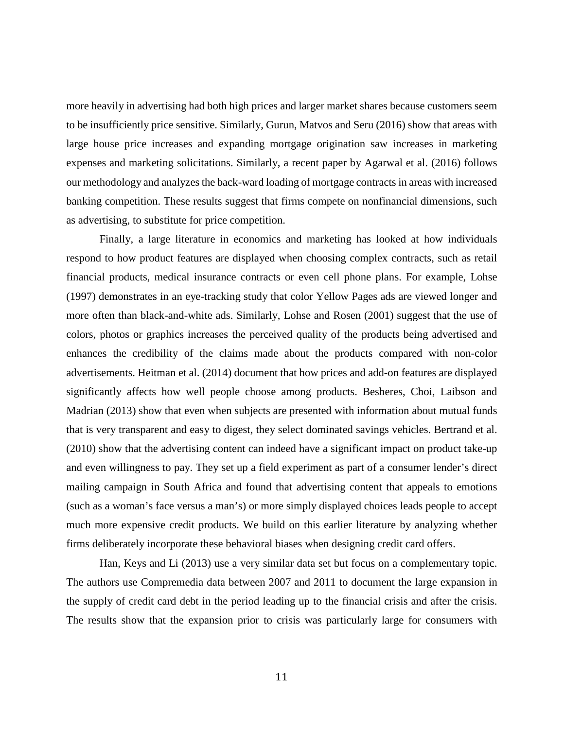more heavily in advertising had both high prices and larger market shares because customers seem to be insufficiently price sensitive. Similarly, Gurun, Matvos and Seru (2016) show that areas with large house price increases and expanding mortgage origination saw increases in marketing expenses and marketing solicitations. Similarly, a recent paper by Agarwal et al. (2016) follows our methodology and analyzes the back-ward loading of mortgage contracts in areas with increased banking competition. These results suggest that firms compete on nonfinancial dimensions, such as advertising, to substitute for price competition.

Finally, a large literature in economics and marketing has looked at how individuals respond to how product features are displayed when choosing complex contracts, such as retail financial products, medical insurance contracts or even cell phone plans. For example, Lohse (1997) demonstrates in an eye-tracking study that color Yellow Pages ads are viewed longer and more often than black-and-white ads. Similarly, Lohse and Rosen (2001) suggest that the use of colors, photos or graphics increases the perceived quality of the products being advertised and enhances the credibility of the claims made about the products compared with non-color advertisements. Heitman et al. (2014) document that how prices and add-on features are displayed significantly affects how well people choose among products. Besheres, Choi, Laibson and Madrian (2013) show that even when subjects are presented with information about mutual funds that is very transparent and easy to digest, they select dominated savings vehicles. Bertrand et al. (2010) show that the advertising content can indeed have a significant impact on product take-up and even willingness to pay. They set up a field experiment as part of a consumer lender's direct mailing campaign in South Africa and found that advertising content that appeals to emotions (such as a woman's face versus a man's) or more simply displayed choices leads people to accept much more expensive credit products. We build on this earlier literature by analyzing whether firms deliberately incorporate these behavioral biases when designing credit card offers.

Han, Keys and Li (2013) use a very similar data set but focus on a complementary topic. The authors use Compremedia data between 2007 and 2011 to document the large expansion in the supply of credit card debt in the period leading up to the financial crisis and after the crisis. The results show that the expansion prior to crisis was particularly large for consumers with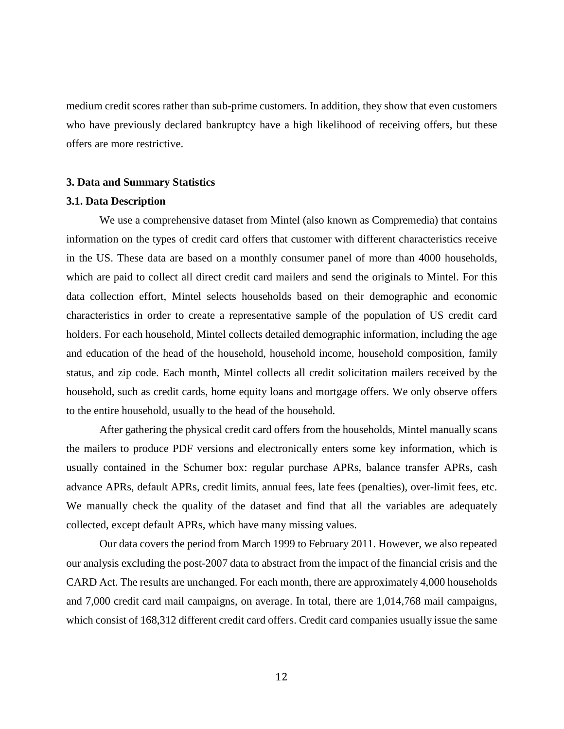medium credit scores rather than sub-prime customers. In addition, they show that even customers who have previously declared bankruptcy have a high likelihood of receiving offers, but these offers are more restrictive.

## **3. Data and Summary Statistics**

## **3.1. Data Description**

We use a comprehensive dataset from Mintel (also known as Compremedia) that contains information on the types of credit card offers that customer with different characteristics receive in the US. These data are based on a monthly consumer panel of more than 4000 households, which are paid to collect all direct credit card mailers and send the originals to Mintel. For this data collection effort, Mintel selects households based on their demographic and economic characteristics in order to create a representative sample of the population of US credit card holders. For each household, Mintel collects detailed demographic information, including the age and education of the head of the household, household income, household composition, family status, and zip code. Each month, Mintel collects all credit solicitation mailers received by the household, such as credit cards, home equity loans and mortgage offers. We only observe offers to the entire household, usually to the head of the household.

After gathering the physical credit card offers from the households, Mintel manually scans the mailers to produce PDF versions and electronically enters some key information, which is usually contained in the Schumer box: regular purchase APRs, balance transfer APRs, cash advance APRs, default APRs, credit limits, annual fees, late fees (penalties), over-limit fees, etc. We manually check the quality of the dataset and find that all the variables are adequately collected, except default APRs, which have many missing values.

Our data covers the period from March 1999 to February 2011. However, we also repeated our analysis excluding the post-2007 data to abstract from the impact of the financial crisis and the CARD Act. The results are unchanged. For each month, there are approximately 4,000 households and 7,000 credit card mail campaigns, on average. In total, there are 1,014,768 mail campaigns, which consist of 168,312 different credit card offers. Credit card companies usually issue the same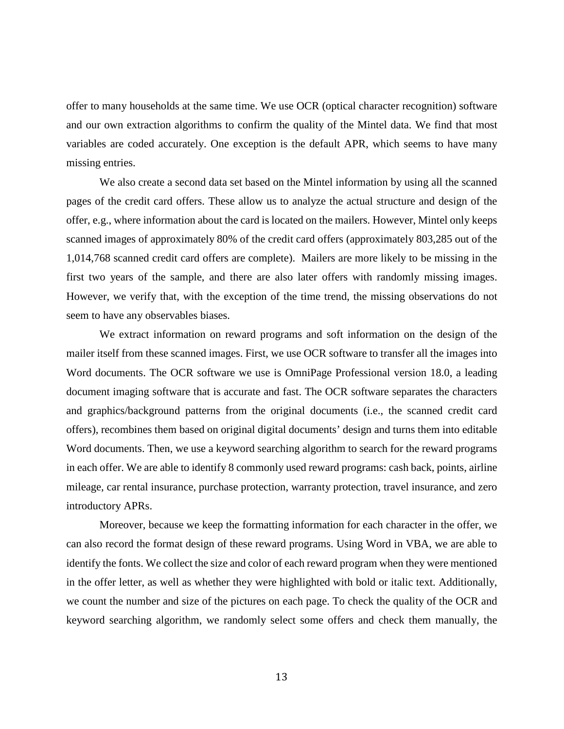offer to many households at the same time. We use OCR (optical character recognition) software and our own extraction algorithms to confirm the quality of the Mintel data. We find that most variables are coded accurately. One exception is the default APR, which seems to have many missing entries.

We also create a second data set based on the Mintel information by using all the scanned pages of the credit card offers. These allow us to analyze the actual structure and design of the offer, e.g., where information about the card is located on the mailers. However, Mintel only keeps scanned images of approximately 80% of the credit card offers (approximately 803,285 out of the 1,014,768 scanned credit card offers are complete). Mailers are more likely to be missing in the first two years of the sample, and there are also later offers with randomly missing images. However, we verify that, with the exception of the time trend, the missing observations do not seem to have any observables biases.

We extract information on reward programs and soft information on the design of the mailer itself from these scanned images. First, we use OCR software to transfer all the images into Word documents. The OCR software we use is OmniPage Professional version 18.0, a leading document imaging software that is accurate and fast. The OCR software separates the characters and graphics/background patterns from the original documents (i.e., the scanned credit card offers), recombines them based on original digital documents' design and turns them into editable Word documents. Then, we use a keyword searching algorithm to search for the reward programs in each offer. We are able to identify 8 commonly used reward programs: cash back, points, airline mileage, car rental insurance, purchase protection, warranty protection, travel insurance, and zero introductory APRs.

Moreover, because we keep the formatting information for each character in the offer, we can also record the format design of these reward programs. Using Word in VBA, we are able to identify the fonts. We collect the size and color of each reward program when they were mentioned in the offer letter, as well as whether they were highlighted with bold or italic text. Additionally, we count the number and size of the pictures on each page. To check the quality of the OCR and keyword searching algorithm, we randomly select some offers and check them manually, the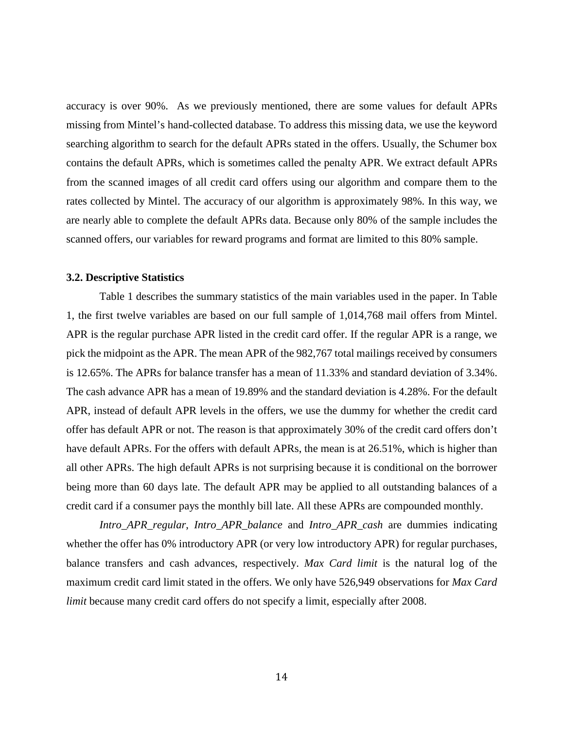accuracy is over 90%. As we previously mentioned, there are some values for default APRs missing from Mintel's hand-collected database. To address this missing data, we use the keyword searching algorithm to search for the default APRs stated in the offers. Usually, the Schumer box contains the default APRs, which is sometimes called the penalty APR. We extract default APRs from the scanned images of all credit card offers using our algorithm and compare them to the rates collected by Mintel. The accuracy of our algorithm is approximately 98%. In this way, we are nearly able to complete the default APRs data. Because only 80% of the sample includes the scanned offers, our variables for reward programs and format are limited to this 80% sample.

#### **3.2. Descriptive Statistics**

Table 1 describes the summary statistics of the main variables used in the paper. In Table 1, the first twelve variables are based on our full sample of 1,014,768 mail offers from Mintel. APR is the regular purchase APR listed in the credit card offer. If the regular APR is a range, we pick the midpoint as the APR. The mean APR of the 982,767 total mailings received by consumers is 12.65%. The APRs for balance transfer has a mean of 11.33% and standard deviation of 3.34%. The cash advance APR has a mean of 19.89% and the standard deviation is 4.28%. For the default APR, instead of default APR levels in the offers, we use the dummy for whether the credit card offer has default APR or not. The reason is that approximately 30% of the credit card offers don't have default APRs. For the offers with default APRs, the mean is at 26.51%, which is higher than all other APRs. The high default APRs is not surprising because it is conditional on the borrower being more than 60 days late. The default APR may be applied to all outstanding balances of a credit card if a consumer pays the monthly bill late. All these APRs are compounded monthly.

*Intro\_APR\_regular*, *Intro\_APR\_balance* and *Intro\_APR\_cash* are dummies indicating whether the offer has 0% introductory APR (or very low introductory APR) for regular purchases, balance transfers and cash advances, respectively. *Max Card limit* is the natural log of the maximum credit card limit stated in the offers. We only have 526,949 observations for *Max Card limit* because many credit card offers do not specify a limit, especially after 2008.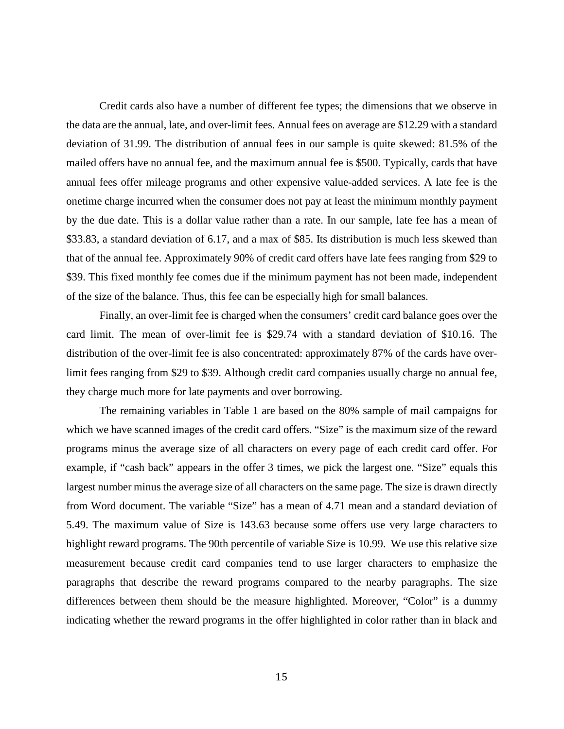Credit cards also have a number of different fee types; the dimensions that we observe in the data are the annual, late, and over-limit fees. Annual fees on average are \$12.29 with a standard deviation of 31.99. The distribution of annual fees in our sample is quite skewed: 81.5% of the mailed offers have no annual fee, and the maximum annual fee is \$500. Typically, cards that have annual fees offer mileage programs and other expensive value-added services. A late fee is the onetime charge incurred when the consumer does not pay at least the minimum monthly payment by the due date. This is a dollar value rather than a rate. In our sample, late fee has a mean of \$33.83, a standard deviation of 6.17, and a max of \$85. Its distribution is much less skewed than that of the annual fee. Approximately 90% of credit card offers have late fees ranging from \$29 to \$39. This fixed monthly fee comes due if the minimum payment has not been made, independent of the size of the balance. Thus, this fee can be especially high for small balances.

Finally, an over-limit fee is charged when the consumers' credit card balance goes over the card limit. The mean of over-limit fee is \$29.74 with a standard deviation of \$10.16. The distribution of the over-limit fee is also concentrated: approximately 87% of the cards have overlimit fees ranging from \$29 to \$39. Although credit card companies usually charge no annual fee, they charge much more for late payments and over borrowing.

The remaining variables in Table 1 are based on the 80% sample of mail campaigns for which we have scanned images of the credit card offers. "Size" is the maximum size of the reward programs minus the average size of all characters on every page of each credit card offer. For example, if "cash back" appears in the offer 3 times, we pick the largest one. "Size" equals this largest number minus the average size of all characters on the same page. The size is drawn directly from Word document. The variable "Size" has a mean of 4.71 mean and a standard deviation of 5.49. The maximum value of Size is 143.63 because some offers use very large characters to highlight reward programs. The 90th percentile of variable Size is 10.99. We use this relative size measurement because credit card companies tend to use larger characters to emphasize the paragraphs that describe the reward programs compared to the nearby paragraphs. The size differences between them should be the measure highlighted. Moreover, "Color" is a dummy indicating whether the reward programs in the offer highlighted in color rather than in black and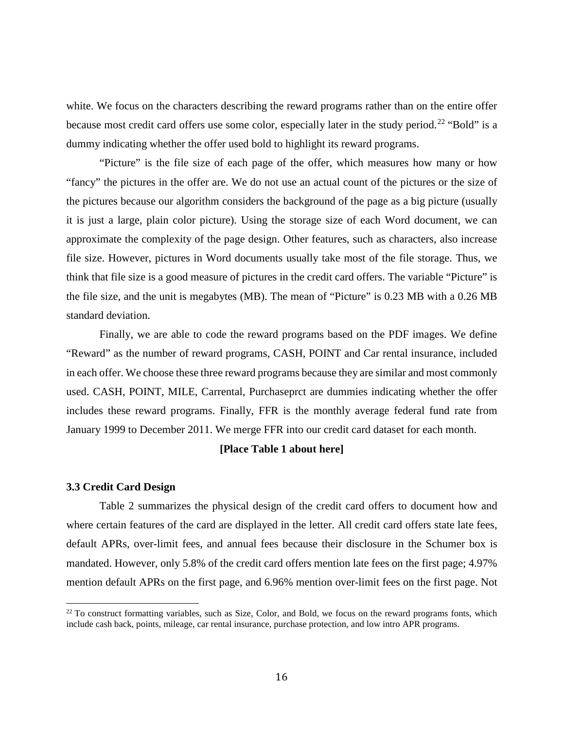white. We focus on the characters describing the reward programs rather than on the entire offer because most credit card offers use some color, especially later in the study period.<sup>[22](#page-15-0)</sup> "Bold" is a dummy indicating whether the offer used bold to highlight its reward programs.

"Picture" is the file size of each page of the offer, which measures how many or how "fancy" the pictures in the offer are. We do not use an actual count of the pictures or the size of the pictures because our algorithm considers the background of the page as a big picture (usually it is just a large, plain color picture). Using the storage size of each Word document, we can approximate the complexity of the page design. Other features, such as characters, also increase file size. However, pictures in Word documents usually take most of the file storage. Thus, we think that file size is a good measure of pictures in the credit card offers. The variable "Picture" is the file size, and the unit is megabytes (MB). The mean of "Picture" is 0.23 MB with a 0.26 MB standard deviation.

Finally, we are able to code the reward programs based on the PDF images. We define "Reward" as the number of reward programs, CASH, POINT and Car rental insurance, included in each offer. We choose these three reward programs because they are similar and most commonly used. CASH, POINT, MILE, Carrental, Purchaseprct are dummies indicating whether the offer includes these reward programs. Finally, FFR is the monthly average federal fund rate from January 1999 to December 2011. We merge FFR into our credit card dataset for each month.

## **[Place Table 1 about here]**

#### **3.3 Credit Card Design**

Table 2 summarizes the physical design of the credit card offers to document how and where certain features of the card are displayed in the letter. All credit card offers state late fees, default APRs, over-limit fees, and annual fees because their disclosure in the Schumer box is mandated. However, only 5.8% of the credit card offers mention late fees on the first page; 4.97% mention default APRs on the first page, and 6.96% mention over-limit fees on the first page. Not

<span id="page-15-0"></span> $^{22}$  To construct formatting variables, such as Size, Color, and Bold, we focus on the reward programs fonts, which include cash back, points, mileage, car rental insurance, purchase protection, and low intro APR programs.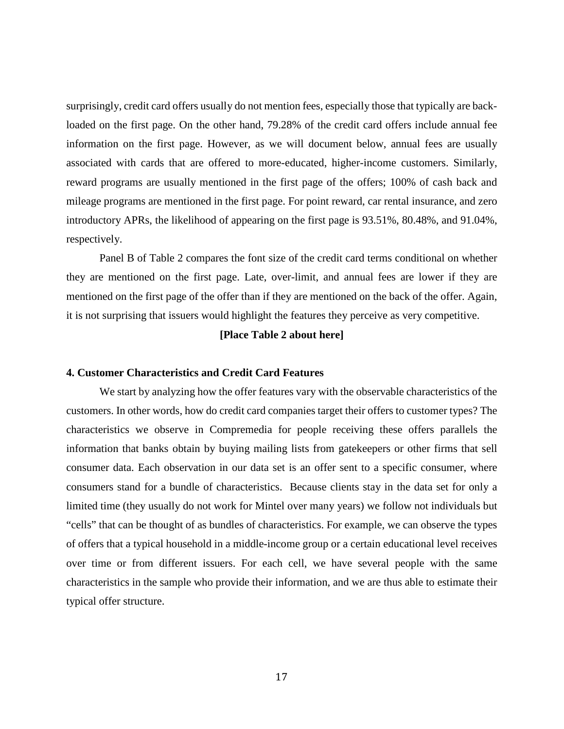surprisingly, credit card offers usually do not mention fees, especially those that typically are backloaded on the first page. On the other hand, 79.28% of the credit card offers include annual fee information on the first page. However, as we will document below, annual fees are usually associated with cards that are offered to more-educated, higher-income customers. Similarly, reward programs are usually mentioned in the first page of the offers; 100% of cash back and mileage programs are mentioned in the first page. For point reward, car rental insurance, and zero introductory APRs, the likelihood of appearing on the first page is 93.51%, 80.48%, and 91.04%, respectively.

Panel B of Table 2 compares the font size of the credit card terms conditional on whether they are mentioned on the first page. Late, over-limit, and annual fees are lower if they are mentioned on the first page of the offer than if they are mentioned on the back of the offer. Again, it is not surprising that issuers would highlight the features they perceive as very competitive.

# **[Place Table 2 about here]**

#### **4. Customer Characteristics and Credit Card Features**

We start by analyzing how the offer features vary with the observable characteristics of the customers. In other words, how do credit card companies target their offers to customer types? The characteristics we observe in Compremedia for people receiving these offers parallels the information that banks obtain by buying mailing lists from gatekeepers or other firms that sell consumer data. Each observation in our data set is an offer sent to a specific consumer, where consumers stand for a bundle of characteristics. Because clients stay in the data set for only a limited time (they usually do not work for Mintel over many years) we follow not individuals but "cells" that can be thought of as bundles of characteristics. For example, we can observe the types of offers that a typical household in a middle-income group or a certain educational level receives over time or from different issuers. For each cell, we have several people with the same characteristics in the sample who provide their information, and we are thus able to estimate their typical offer structure.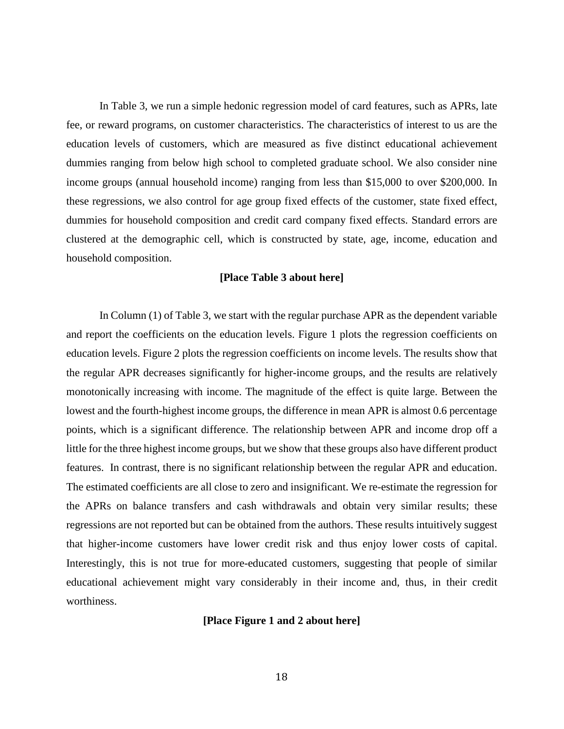In Table 3, we run a simple hedonic regression model of card features, such as APRs, late fee, or reward programs, on customer characteristics. The characteristics of interest to us are the education levels of customers, which are measured as five distinct educational achievement dummies ranging from below high school to completed graduate school. We also consider nine income groups (annual household income) ranging from less than \$15,000 to over \$200,000. In these regressions, we also control for age group fixed effects of the customer, state fixed effect, dummies for household composition and credit card company fixed effects. Standard errors are clustered at the demographic cell, which is constructed by state, age, income, education and household composition.

#### **[Place Table 3 about here]**

In Column (1) of Table 3, we start with the regular purchase APR as the dependent variable and report the coefficients on the education levels. Figure 1 plots the regression coefficients on education levels. Figure 2 plots the regression coefficients on income levels. The results show that the regular APR decreases significantly for higher-income groups, and the results are relatively monotonically increasing with income. The magnitude of the effect is quite large. Between the lowest and the fourth-highest income groups, the difference in mean APR is almost 0.6 percentage points, which is a significant difference. The relationship between APR and income drop off a little for the three highest income groups, but we show that these groups also have different product features. In contrast, there is no significant relationship between the regular APR and education. The estimated coefficients are all close to zero and insignificant. We re-estimate the regression for the APRs on balance transfers and cash withdrawals and obtain very similar results; these regressions are not reported but can be obtained from the authors. These results intuitively suggest that higher-income customers have lower credit risk and thus enjoy lower costs of capital. Interestingly, this is not true for more-educated customers, suggesting that people of similar educational achievement might vary considerably in their income and, thus, in their credit worthiness.

## **[Place Figure 1 and 2 about here]**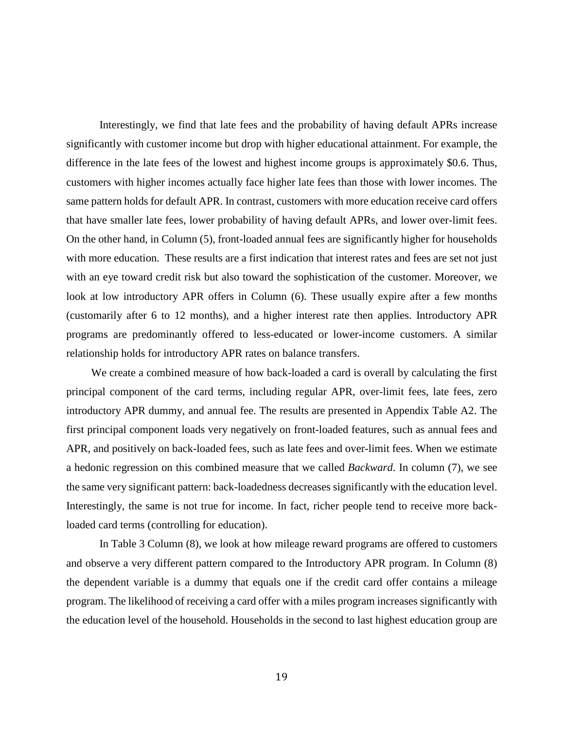Interestingly, we find that late fees and the probability of having default APRs increase significantly with customer income but drop with higher educational attainment. For example, the difference in the late fees of the lowest and highest income groups is approximately \$0.6. Thus, customers with higher incomes actually face higher late fees than those with lower incomes. The same pattern holds for default APR. In contrast, customers with more education receive card offers that have smaller late fees, lower probability of having default APRs, and lower over-limit fees. On the other hand, in Column (5), front-loaded annual fees are significantly higher for households with more education. These results are a first indication that interest rates and fees are set not just with an eye toward credit risk but also toward the sophistication of the customer. Moreover, we look at low introductory APR offers in Column (6). These usually expire after a few months (customarily after 6 to 12 months), and a higher interest rate then applies. Introductory APR programs are predominantly offered to less-educated or lower-income customers. A similar relationship holds for introductory APR rates on balance transfers.

 We create a combined measure of how back-loaded a card is overall by calculating the first principal component of the card terms, including regular APR, over-limit fees, late fees, zero introductory APR dummy, and annual fee. The results are presented in Appendix Table A2. The first principal component loads very negatively on front-loaded features, such as annual fees and APR, and positively on back-loaded fees, such as late fees and over-limit fees. When we estimate a hedonic regression on this combined measure that we called *Backward*. In column (7), we see the same very significant pattern: back-loadedness decreases significantly with the education level. Interestingly, the same is not true for income. In fact, richer people tend to receive more backloaded card terms (controlling for education).

In Table 3 Column (8), we look at how mileage reward programs are offered to customers and observe a very different pattern compared to the Introductory APR program. In Column (8) the dependent variable is a dummy that equals one if the credit card offer contains a mileage program. The likelihood of receiving a card offer with a miles program increases significantly with the education level of the household. Households in the second to last highest education group are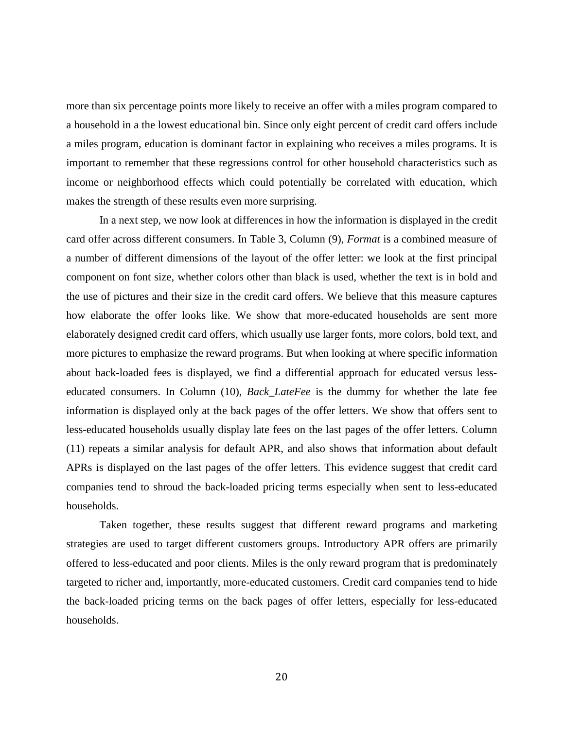more than six percentage points more likely to receive an offer with a miles program compared to a household in a the lowest educational bin. Since only eight percent of credit card offers include a miles program, education is dominant factor in explaining who receives a miles programs. It is important to remember that these regressions control for other household characteristics such as income or neighborhood effects which could potentially be correlated with education, which makes the strength of these results even more surprising.

In a next step, we now look at differences in how the information is displayed in the credit card offer across different consumers. In Table 3, Column (9), *Format* is a combined measure of a number of different dimensions of the layout of the offer letter: we look at the first principal component on font size, whether colors other than black is used, whether the text is in bold and the use of pictures and their size in the credit card offers. We believe that this measure captures how elaborate the offer looks like. We show that more-educated households are sent more elaborately designed credit card offers, which usually use larger fonts, more colors, bold text, and more pictures to emphasize the reward programs. But when looking at where specific information about back-loaded fees is displayed, we find a differential approach for educated versus lesseducated consumers. In Column (10), *Back\_LateFee* is the dummy for whether the late fee information is displayed only at the back pages of the offer letters. We show that offers sent to less-educated households usually display late fees on the last pages of the offer letters. Column (11) repeats a similar analysis for default APR, and also shows that information about default APRs is displayed on the last pages of the offer letters. This evidence suggest that credit card companies tend to shroud the back-loaded pricing terms especially when sent to less-educated households.

Taken together, these results suggest that different reward programs and marketing strategies are used to target different customers groups. Introductory APR offers are primarily offered to less-educated and poor clients. Miles is the only reward program that is predominately targeted to richer and, importantly, more-educated customers. Credit card companies tend to hide the back-loaded pricing terms on the back pages of offer letters, especially for less-educated households.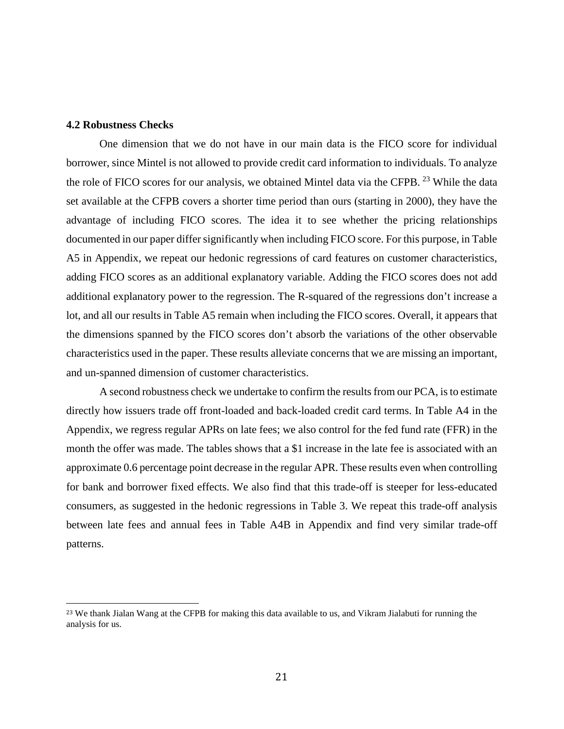## **4.2 Robustness Checks**

One dimension that we do not have in our main data is the FICO score for individual borrower, since Mintel is not allowed to provide credit card information to individuals. To analyze the role of FICO scores for our analysis, we obtained Mintel data via the CFPB. <sup>[23](#page-20-0)</sup> While the data set available at the CFPB covers a shorter time period than ours (starting in 2000), they have the advantage of including FICO scores. The idea it to see whether the pricing relationships documented in our paper differ significantly when including FICO score. For this purpose, in Table A5 in Appendix, we repeat our hedonic regressions of card features on customer characteristics, adding FICO scores as an additional explanatory variable. Adding the FICO scores does not add additional explanatory power to the regression. The R-squared of the regressions don't increase a lot, and all our results in Table A5 remain when including the FICO scores. Overall, it appears that the dimensions spanned by the FICO scores don't absorb the variations of the other observable characteristics used in the paper. These results alleviate concerns that we are missing an important, and un-spanned dimension of customer characteristics.

 A second robustness check we undertake to confirm the results from our PCA, is to estimate directly how issuers trade off front-loaded and back-loaded credit card terms. In Table A4 in the Appendix, we regress regular APRs on late fees; we also control for the fed fund rate (FFR) in the month the offer was made. The tables shows that a \$1 increase in the late fee is associated with an approximate 0.6 percentage point decrease in the regular APR. These results even when controlling for bank and borrower fixed effects. We also find that this trade-off is steeper for less-educated consumers, as suggested in the hedonic regressions in Table 3. We repeat this trade-off analysis between late fees and annual fees in Table A4B in Appendix and find very similar trade-off patterns.

<span id="page-20-0"></span><sup>&</sup>lt;sup>23</sup> We thank Jialan Wang at the CFPB for making this data available to us, and Vikram Jialabuti for running the analysis for us.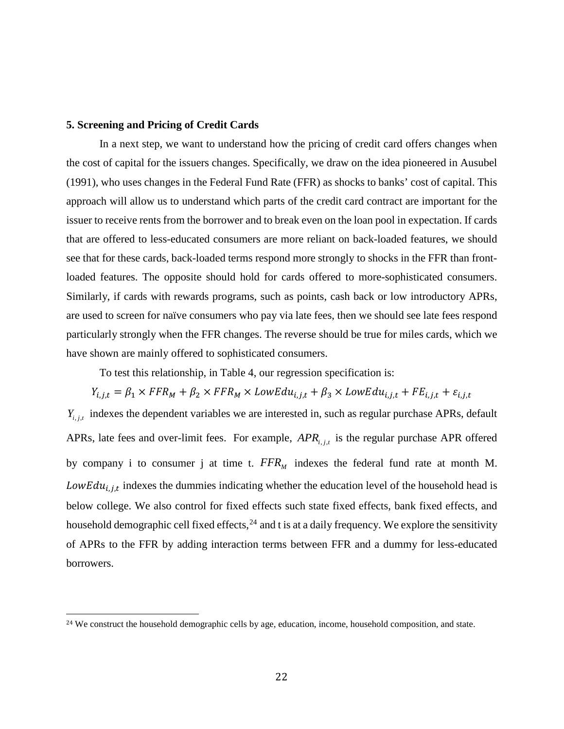#### **5. Screening and Pricing of Credit Cards**

In a next step, we want to understand how the pricing of credit card offers changes when the cost of capital for the issuers changes. Specifically, we draw on the idea pioneered in Ausubel (1991), who uses changes in the Federal Fund Rate (FFR) as shocks to banks' cost of capital. This approach will allow us to understand which parts of the credit card contract are important for the issuer to receive rents from the borrower and to break even on the loan pool in expectation. If cards that are offered to less-educated consumers are more reliant on back-loaded features, we should see that for these cards, back-loaded terms respond more strongly to shocks in the FFR than frontloaded features. The opposite should hold for cards offered to more-sophisticated consumers. Similarly, if cards with rewards programs, such as points, cash back or low introductory APRs, are used to screen for naïve consumers who pay via late fees, then we should see late fees respond particularly strongly when the FFR changes. The reverse should be true for miles cards, which we have shown are mainly offered to sophisticated consumers.

To test this relationship, in Table 4, our regression specification is:

 $Y_{i,j,t} = \beta_1 \times FFR_M + \beta_2 \times FFR_M \times LowEdu_{i,j,t} + \beta_3 \times LowEdu_{i,j,t} + FE_{i,j,t} + \varepsilon_{i,j,t}$ 

 $Y_{i,j,t}$  indexes the dependent variables we are interested in, such as regular purchase APRs, default APRs, late fees and over-limit fees. For example,  $APR_{i,j,t}$  is the regular purchase APR offered by company i to consumer j at time t.  $FFR<sub>M</sub>$  indexes the federal fund rate at month M. LowEd $u_{i,j,t}$  indexes the dummies indicating whether the education level of the household head is below college. We also control for fixed effects such state fixed effects, bank fixed effects, and household demographic cell fixed effects,  $^{24}$  $^{24}$  $^{24}$  and t is at a daily frequency. We explore the sensitivity of APRs to the FFR by adding interaction terms between FFR and a dummy for less-educated borrowers.

<span id="page-21-0"></span><sup>&</sup>lt;sup>24</sup> We construct the household demographic cells by age, education, income, household composition, and state.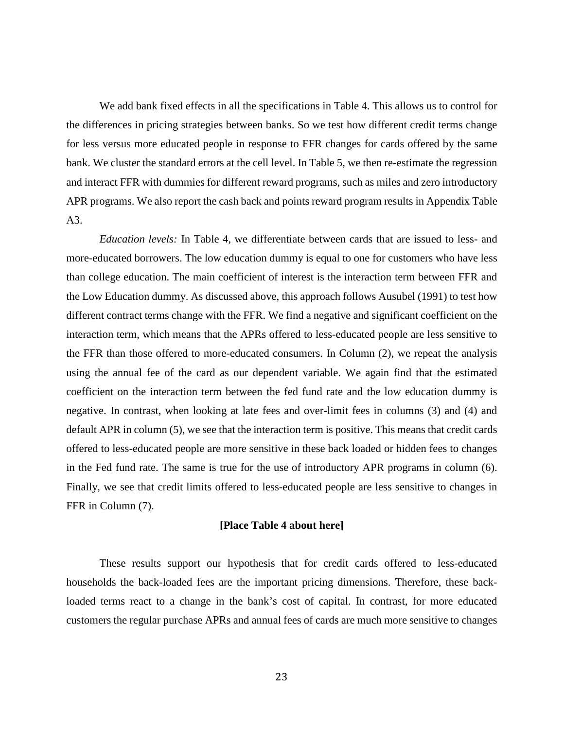We add bank fixed effects in all the specifications in Table 4. This allows us to control for the differences in pricing strategies between banks. So we test how different credit terms change for less versus more educated people in response to FFR changes for cards offered by the same bank. We cluster the standard errors at the cell level. In Table 5, we then re-estimate the regression and interact FFR with dummies for different reward programs, such as miles and zero introductory APR programs. We also report the cash back and points reward program results in Appendix Table A3.

*Education levels:* In Table 4, we differentiate between cards that are issued to less- and more-educated borrowers. The low education dummy is equal to one for customers who have less than college education. The main coefficient of interest is the interaction term between FFR and the Low Education dummy. As discussed above, this approach follows Ausubel (1991) to test how different contract terms change with the FFR. We find a negative and significant coefficient on the interaction term, which means that the APRs offered to less-educated people are less sensitive to the FFR than those offered to more-educated consumers. In Column (2), we repeat the analysis using the annual fee of the card as our dependent variable. We again find that the estimated coefficient on the interaction term between the fed fund rate and the low education dummy is negative. In contrast, when looking at late fees and over-limit fees in columns (3) and (4) and default APR in column (5), we see that the interaction term is positive. This means that credit cards offered to less-educated people are more sensitive in these back loaded or hidden fees to changes in the Fed fund rate. The same is true for the use of introductory APR programs in column (6). Finally, we see that credit limits offered to less-educated people are less sensitive to changes in FFR in Column  $(7)$ .

#### **[Place Table 4 about here]**

These results support our hypothesis that for credit cards offered to less-educated households the back-loaded fees are the important pricing dimensions. Therefore, these backloaded terms react to a change in the bank's cost of capital. In contrast, for more educated customers the regular purchase APRs and annual fees of cards are much more sensitive to changes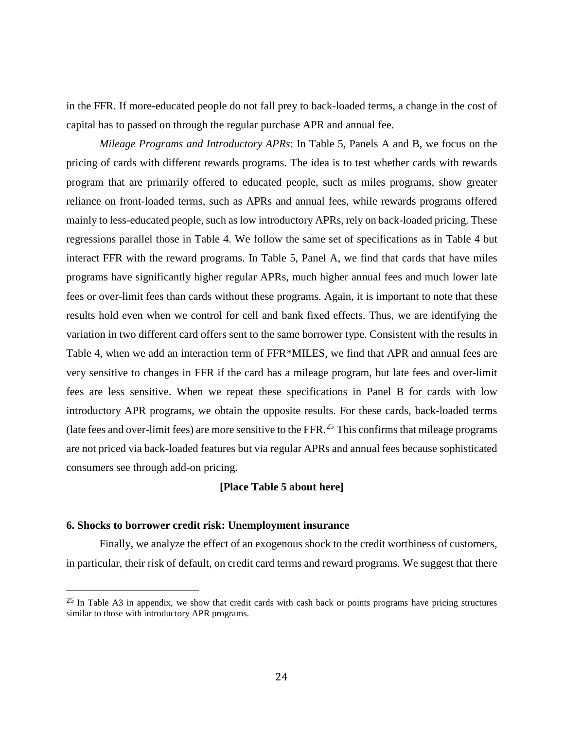in the FFR. If more-educated people do not fall prey to back-loaded terms, a change in the cost of capital has to passed on through the regular purchase APR and annual fee.

*Mileage Programs and Introductory APRs*: In Table 5, Panels A and B, we focus on the pricing of cards with different rewards programs. The idea is to test whether cards with rewards program that are primarily offered to educated people, such as miles programs, show greater reliance on front-loaded terms, such as APRs and annual fees, while rewards programs offered mainly to less-educated people, such as low introductory APRs, rely on back-loaded pricing. These regressions parallel those in Table 4. We follow the same set of specifications as in Table 4 but interact FFR with the reward programs. In Table 5, Panel A, we find that cards that have miles programs have significantly higher regular APRs, much higher annual fees and much lower late fees or over-limit fees than cards without these programs. Again, it is important to note that these results hold even when we control for cell and bank fixed effects. Thus, we are identifying the variation in two different card offers sent to the same borrower type. Consistent with the results in Table 4, when we add an interaction term of FFR\*MILES, we find that APR and annual fees are very sensitive to changes in FFR if the card has a mileage program, but late fees and over-limit fees are less sensitive. When we repeat these specifications in Panel B for cards with low introductory APR programs, we obtain the opposite results. For these cards, back-loaded terms (late fees and over-limit fees) are more sensitive to the FFR.<sup>[25](#page-23-0)</sup> This confirms that mileage programs are not priced via back-loaded features but via regular APRs and annual fees because sophisticated consumers see through add-on pricing.

## **[Place Table 5 about here]**

#### **6. Shocks to borrower credit risk: Unemployment insurance**

Finally, we analyze the effect of an exogenous shock to the credit worthiness of customers, in particular, their risk of default, on credit card terms and reward programs. We suggest that there

<span id="page-23-0"></span><sup>&</sup>lt;sup>25</sup> In Table A3 in appendix, we show that credit cards with cash back or points programs have pricing structures similar to those with introductory APR programs.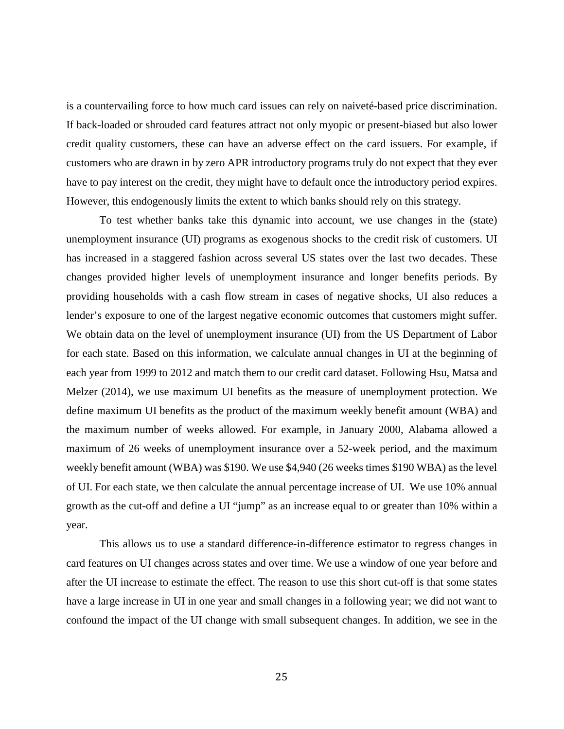is a countervailing force to how much card issues can rely on naiveté-based price discrimination. If back-loaded or shrouded card features attract not only myopic or present-biased but also lower credit quality customers, these can have an adverse effect on the card issuers. For example, if customers who are drawn in by zero APR introductory programs truly do not expect that they ever have to pay interest on the credit, they might have to default once the introductory period expires. However, this endogenously limits the extent to which banks should rely on this strategy.

To test whether banks take this dynamic into account, we use changes in the (state) unemployment insurance (UI) programs as exogenous shocks to the credit risk of customers. UI has increased in a staggered fashion across several US states over the last two decades. These changes provided higher levels of unemployment insurance and longer benefits periods. By providing households with a cash flow stream in cases of negative shocks, UI also reduces a lender's exposure to one of the largest negative economic outcomes that customers might suffer. We obtain data on the level of unemployment insurance (UI) from the US Department of Labor for each state. Based on this information, we calculate annual changes in UI at the beginning of each year from 1999 to 2012 and match them to our credit card dataset. Following Hsu, Matsa and Melzer (2014), we use maximum UI benefits as the measure of unemployment protection. We define maximum UI benefits as the product of the maximum weekly benefit amount (WBA) and the maximum number of weeks allowed. For example, in January 2000, Alabama allowed a maximum of 26 weeks of unemployment insurance over a 52-week period, and the maximum weekly benefit amount (WBA) was \$190. We use \$4,940 (26 weeks times \$190 WBA) as the level of UI. For each state, we then calculate the annual percentage increase of UI. We use 10% annual growth as the cut-off and define a UI "jump" as an increase equal to or greater than 10% within a year.

This allows us to use a standard difference-in-difference estimator to regress changes in card features on UI changes across states and over time. We use a window of one year before and after the UI increase to estimate the effect. The reason to use this short cut-off is that some states have a large increase in UI in one year and small changes in a following year; we did not want to confound the impact of the UI change with small subsequent changes. In addition, we see in the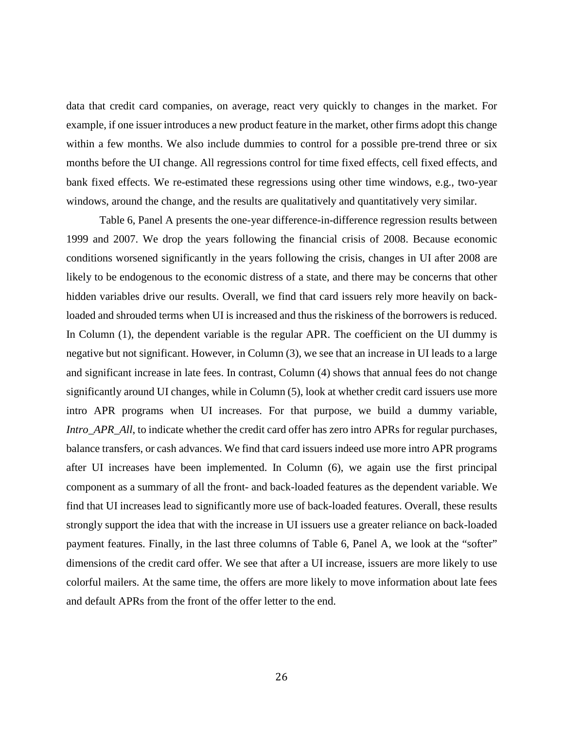data that credit card companies, on average, react very quickly to changes in the market. For example, if one issuer introduces a new product feature in the market, other firms adopt this change within a few months. We also include dummies to control for a possible pre-trend three or six months before the UI change. All regressions control for time fixed effects, cell fixed effects, and bank fixed effects. We re-estimated these regressions using other time windows, e.g., two-year windows, around the change, and the results are qualitatively and quantitatively very similar.

Table 6, Panel A presents the one-year difference-in-difference regression results between 1999 and 2007. We drop the years following the financial crisis of 2008. Because economic conditions worsened significantly in the years following the crisis, changes in UI after 2008 are likely to be endogenous to the economic distress of a state, and there may be concerns that other hidden variables drive our results. Overall, we find that card issuers rely more heavily on backloaded and shrouded terms when UI is increased and thus the riskiness of the borrowers is reduced. In Column (1), the dependent variable is the regular APR. The coefficient on the UI dummy is negative but not significant. However, in Column (3), we see that an increase in UI leads to a large and significant increase in late fees. In contrast, Column (4) shows that annual fees do not change significantly around UI changes, while in Column (5), look at whether credit card issuers use more intro APR programs when UI increases. For that purpose, we build a dummy variable, *Intro\_APR\_All*, to indicate whether the credit card offer has zero intro APRs for regular purchases, balance transfers, or cash advances. We find that card issuers indeed use more intro APR programs after UI increases have been implemented. In Column (6), we again use the first principal component as a summary of all the front- and back-loaded features as the dependent variable. We find that UI increases lead to significantly more use of back-loaded features. Overall, these results strongly support the idea that with the increase in UI issuers use a greater reliance on back-loaded payment features. Finally, in the last three columns of Table 6, Panel A, we look at the "softer" dimensions of the credit card offer. We see that after a UI increase, issuers are more likely to use colorful mailers. At the same time, the offers are more likely to move information about late fees and default APRs from the front of the offer letter to the end.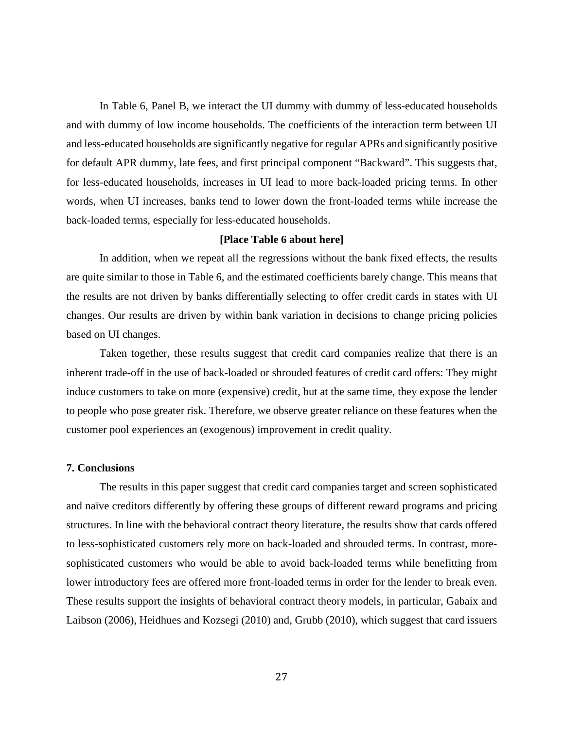In Table 6, Panel B, we interact the UI dummy with dummy of less-educated households and with dummy of low income households. The coefficients of the interaction term between UI and less-educated households are significantly negative for regular APRs and significantly positive for default APR dummy, late fees, and first principal component "Backward". This suggests that, for less-educated households, increases in UI lead to more back-loaded pricing terms. In other words, when UI increases, banks tend to lower down the front-loaded terms while increase the back-loaded terms, especially for less-educated households.

## **[Place Table 6 about here]**

In addition, when we repeat all the regressions without the bank fixed effects, the results are quite similar to those in Table 6, and the estimated coefficients barely change. This means that the results are not driven by banks differentially selecting to offer credit cards in states with UI changes. Our results are driven by within bank variation in decisions to change pricing policies based on UI changes.

Taken together, these results suggest that credit card companies realize that there is an inherent trade-off in the use of back-loaded or shrouded features of credit card offers: They might induce customers to take on more (expensive) credit, but at the same time, they expose the lender to people who pose greater risk. Therefore, we observe greater reliance on these features when the customer pool experiences an (exogenous) improvement in credit quality.

# **7. Conclusions**

The results in this paper suggest that credit card companies target and screen sophisticated and naïve creditors differently by offering these groups of different reward programs and pricing structures. In line with the behavioral contract theory literature, the results show that cards offered to less-sophisticated customers rely more on back-loaded and shrouded terms. In contrast, moresophisticated customers who would be able to avoid back-loaded terms while benefitting from lower introductory fees are offered more front-loaded terms in order for the lender to break even. These results support the insights of behavioral contract theory models, in particular, Gabaix and Laibson (2006), Heidhues and Kozsegi (2010) and, Grubb (2010), which suggest that card issuers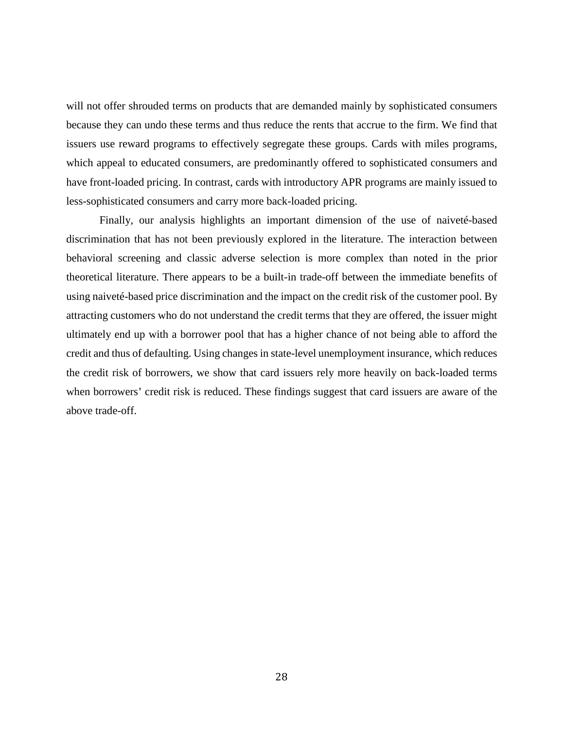will not offer shrouded terms on products that are demanded mainly by sophisticated consumers because they can undo these terms and thus reduce the rents that accrue to the firm. We find that issuers use reward programs to effectively segregate these groups. Cards with miles programs, which appeal to educated consumers, are predominantly offered to sophisticated consumers and have front-loaded pricing. In contrast, cards with introductory APR programs are mainly issued to less-sophisticated consumers and carry more back-loaded pricing.

Finally, our analysis highlights an important dimension of the use of naiveté-based discrimination that has not been previously explored in the literature. The interaction between behavioral screening and classic adverse selection is more complex than noted in the prior theoretical literature. There appears to be a built-in trade-off between the immediate benefits of using naiveté-based price discrimination and the impact on the credit risk of the customer pool. By attracting customers who do not understand the credit terms that they are offered, the issuer might ultimately end up with a borrower pool that has a higher chance of not being able to afford the credit and thus of defaulting. Using changes in state-level unemployment insurance, which reduces the credit risk of borrowers, we show that card issuers rely more heavily on back-loaded terms when borrowers' credit risk is reduced. These findings suggest that card issuers are aware of the above trade-off.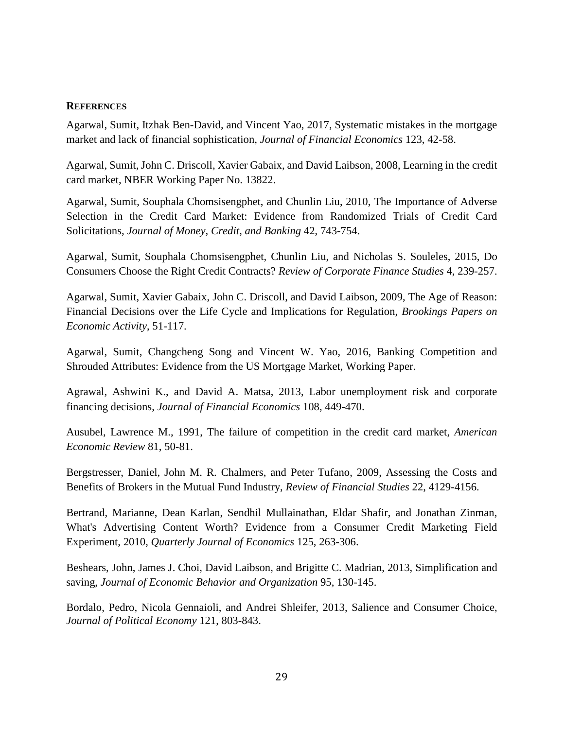# **REFERENCES**

Agarwal, Sumit, Itzhak Ben-David, and Vincent Yao, 2017, Systematic mistakes in the mortgage market and lack of financial sophistication, *Journal of Financial Economics* 123, 42-58.

Agarwal, Sumit, John C. Driscoll, Xavier Gabaix, and David Laibson, 2008, [Learning in the credit](http://www.nber.org/papers/w13822)  [card market,](http://www.nber.org/papers/w13822) NBER Working Paper No. 13822.

Agarwal, Sumit, Souphala Chomsisengphet, and Chunlin Liu, 2010, The Importance of Adverse Selection in the Credit Card Market: Evidence from Randomized Trials of Credit Card Solicitations, *Journal of Money, Credit, and Banking* 42, 743-754.

Agarwal, Sumit, Souphala Chomsisengphet, Chunlin Liu, and Nicholas S. Souleles, 2015, Do Consumers Choose the Right Credit Contracts? *Review of Corporate Finance Studies* 4, 239-257.

Agarwal, Sumit, Xavier Gabaix, John C. Driscoll, and David Laibson, 2009, The Age of Reason: Financial Decisions over the Life Cycle and Implications for Regulation, *Brookings Papers on Economic Activity*, 51-117.

Agarwal, Sumit, Changcheng Song and Vincent W. Yao, 2016, Banking Competition and Shrouded Attributes: Evidence from the US Mortgage Market, Working Paper.

Agrawal, Ashwini K., and David A. Matsa, 2013, Labor unemployment risk and corporate financing decisions, *Journal of Financial Economics* 108, 449-470.

Ausubel, Lawrence M., 1991, The failure of competition in the credit card market, *American Economic Review* 81, 50-81.

Bergstresser, Daniel, John M. R. Chalmers, and Peter Tufano, 2009, Assessing the Costs and Benefits of Brokers in the Mutual Fund Industry, *Review of Financial Studies* 22, 4129-4156.

Bertrand, Marianne, Dean Karlan, Sendhil Mullainathan, Eldar Shafir, and Jonathan Zinman, What's Advertising Content Worth? Evidence from a Consumer Credit Marketing Field Experiment, 2010, *Quarterly Journal of Economics* 125, 263-306.

Beshears, John, James J. Choi, David Laibson, and Brigitte C. Madrian, 2013, Simplification and saving, *Journal of Economic Behavior and Organization* 95, 130-145.

Bordalo, Pedro, Nicola Gennaioli, and Andrei Shleifer, 2013, Salience and Consumer Choice, *Journal of Political Economy* 121, 803-843.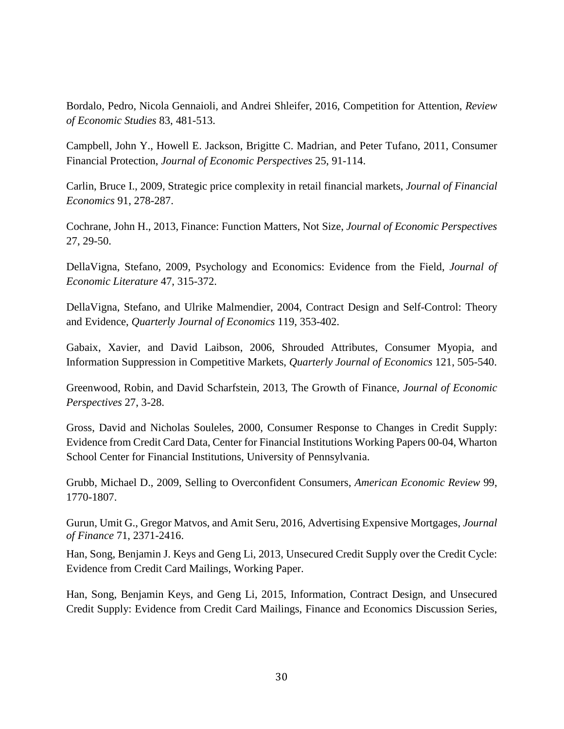Bordalo, Pedro, Nicola Gennaioli, and Andrei Shleifer, 2016, Competition for Attention, *Review of Economic Studies* 83, 481-513.

Campbell, John Y., Howell E. Jackson, Brigitte C. Madrian, and Peter Tufano, 2011, Consumer Financial Protection, *Journal of Economic Perspectives* 25, 91-114.

Carlin, Bruce I., 2009, Strategic price complexity in retail financial markets, *Journal of Financial Economics* 91, 278-287.

Cochrane, John H., 2013, Finance: Function Matters, Not Size, *Journal of Economic Perspectives* 27, 29-50.

DellaVigna, Stefano, 2009, Psychology and Economics: Evidence from the Field, *Journal of Economic Literature* 47, 315-372.

DellaVigna, Stefano, and Ulrike Malmendier, 2004, Contract Design and Self-Control: Theory and Evidence, *Quarterly Journal of Economics* 119, 353-402.

Gabaix, Xavier, and David Laibson, 2006, Shrouded Attributes, Consumer Myopia, and Information Suppression in Competitive Markets, *Quarterly Journal of Economics* 121, 505-540.

Greenwood, Robin, and David Scharfstein, 2013, The Growth of Finance, *Journal of Economic Perspectives* 27, 3-28.

Gross, David and Nicholas Souleles, 2000, [Consumer Response to Changes in Credit Supply:](http://ideas.repec.org/p/wop/pennin/00-04.html)  [Evidence from Credit Card Data,](http://ideas.repec.org/p/wop/pennin/00-04.html) [Center for Financial Institutions Working Papers](http://ideas.repec.org/s/wop/pennin.html) 00-04, Wharton School Center for Financial Institutions, University of Pennsylvania.

Grubb, Michael D., 2009, Selling to Overconfident Consumers, *American Economic Review* 99, 1770-1807.

Gurun, Umit G., Gregor Matvos, and Amit Seru, 2016, Advertising Expensive Mortgages, *Journal of Finance* 71, 2371-2416.

Han, Song, Benjamin J. Keys and Geng Li, 2013, Unsecured Credit Supply over the Credit Cycle: Evidence from Credit Card Mailings, Working Paper.

Han, Song, Benjamin Keys, and Geng Li, 2015, Information, Contract Design, and Unsecured Credit Supply: Evidence from Credit Card Mailings, Finance and Economics Discussion Series,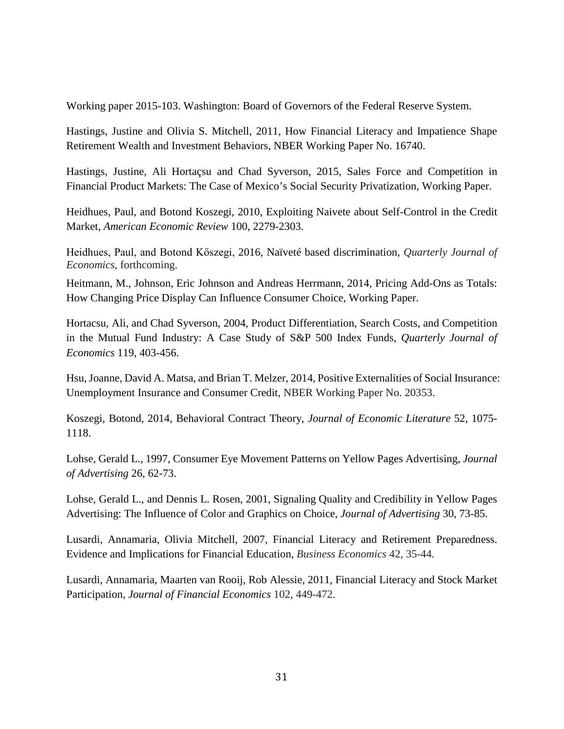Working paper 2015-103. Washington: Board of Governors of the Federal Reserve System.

Hastings, Justine and Olivia S. Mitchell, 2011, How Financial Literacy and Impatience Shape Retirement Wealth and Investment Behaviors, NBER Working Paper No. 16740.

Hastings, Justine, Ali Hortaçsu and Chad Syverson, 2015, Sales Force and Competition in Financial Product Markets: The Case of Mexico's Social Security Privatization, Working Paper.

Heidhues, Paul, and Botond Koszegi, 2010, Exploiting Naivete about Self-Control in the Credit Market, *American Economic Review* 100, 2279-2303.

Heidhues, Paul, and Botond Kőszegi, 2016, Naïveté based discrimination, *Quarterly Journal of Economics*, forthcoming.

Heitmann, M., Johnson, Eric Johnson and Andreas Herrmann, 2014, Pricing Add-Ons as Totals: How Changing Price Display Can Influence Consumer Choice, Working Paper.

Hortacsu, Ali, and Chad Syverson, 2004, Product Differentiation, Search Costs, and Competition in the Mutual Fund Industry: A Case Study of S&P 500 Index Funds, *Quarterly Journal of Economics* 119, 403-456.

Hsu, Joanne, David A. Matsa, and Brian T. Melzer, 2014, Positive Externalities of Social Insurance: Unemployment Insurance and Consumer Credit, NBER Working Paper No. 20353.

Koszegi, Botond, 2014, Behavioral Contract Theory, *Journal of Economic Literature* 52, 1075- 1118.

Lohse, Gerald L., 1997, Consumer Eye Movement Patterns on Yellow Pages Advertising, *Journal of Advertising* 26, 62-73.

Lohse, Gerald L., and Dennis L. Rosen, 2001, Signaling Quality and Credibility in Yellow Pages Advertising: The Influence of Color and Graphics on Choice, *Journal of Advertising* 30, 73-85.

Lusardi, Annamaria, Olivia Mitchell, 2007, Financial Literacy and Retirement Preparedness. Evidence and Implications for Financial Education, *Business Economics* 42, 35-44.

Lusardi, Annamaria, Maarten van Rooij, Rob Alessie, 2011, Financial Literacy and Stock Market Participation, *Journal of Financial Economics* 102, 449-472.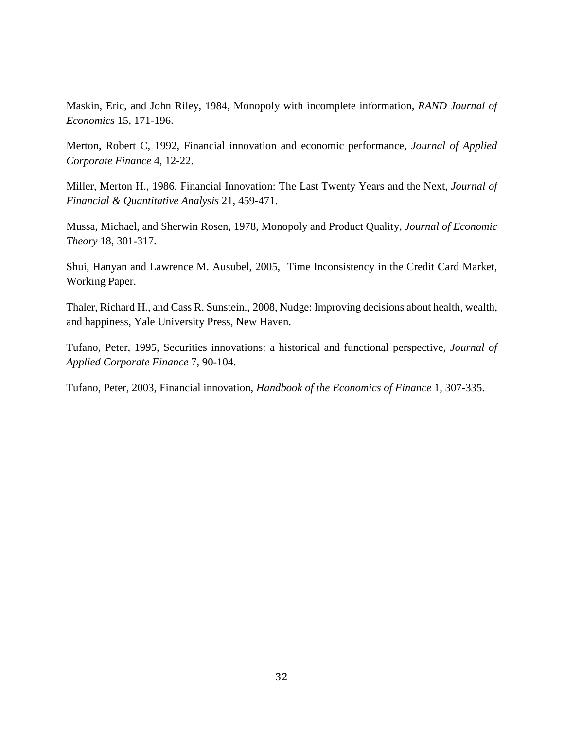Maskin, Eric, and John Riley, 1984, Monopoly with incomplete information, *RAND Journal of Economics* 15, 171-196.

Merton, Robert C, 1992, Financial innovation and economic performance, *Journal of Applied Corporate Finance* 4, 12-22.

Miller, Merton H., 1986, Financial Innovation: The Last Twenty Years and the Next, *Journal of Financial & Quantitative Analysis* 21, 459-471.

Mussa, Michael, and Sherwin Rosen, 1978, Monopoly and Product Quality, *Journal of Economic Theory* 18, 301-317.

Shui, Hanyan and Lawrence M. Ausubel, 2005, Time Inconsistency in the Credit Card Market, Working Paper.

Thaler, Richard H., and Cass R. Sunstein., 2008, Nudge: Improving decisions about health, wealth, and happiness, Yale University Press, New Haven.

Tufano, Peter, 1995, Securities innovations: a historical and functional perspective, *Journal of Applied Corporate Finance* 7, 90-104.

Tufano, Peter, 2003, Financial innovation, *Handbook of the Economics of Finance* 1, 307-335.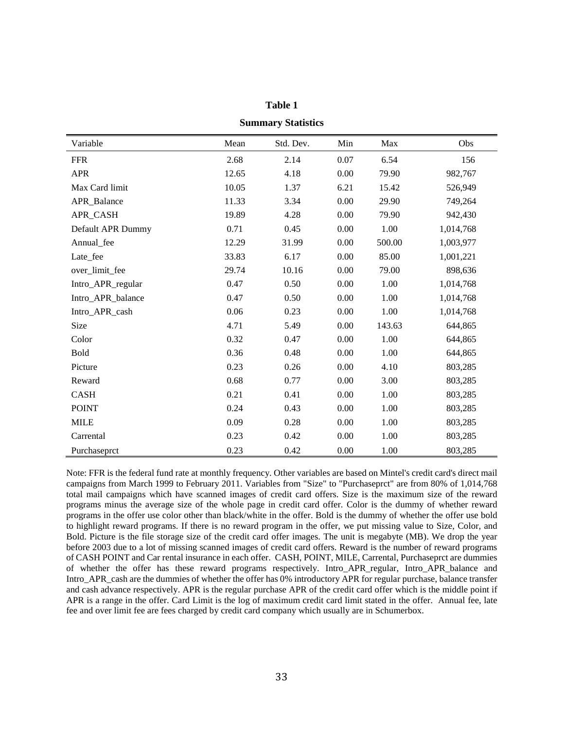| Variable          | Mean  | Std. Dev. | Min      | Max    | Obs       |
|-------------------|-------|-----------|----------|--------|-----------|
| <b>FFR</b>        | 2.68  | 2.14      | 0.07     | 6.54   | 156       |
| <b>APR</b>        | 12.65 | 4.18      | 0.00     | 79.90  | 982,767   |
| Max Card limit    | 10.05 | 1.37      | 6.21     | 15.42  | 526,949   |
| APR_Balance       | 11.33 | 3.34      | 0.00     | 29.90  | 749,264   |
| APR_CASH          | 19.89 | 4.28      | 0.00     | 79.90  | 942,430   |
| Default APR Dummy | 0.71  | 0.45      | 0.00     | 1.00   | 1,014,768 |
| Annual_fee        | 12.29 | 31.99     | 0.00     | 500.00 | 1,003,977 |
| Late_fee          | 33.83 | 6.17      | 0.00     | 85.00  | 1,001,221 |
| over limit fee    | 29.74 | 10.16     | 0.00     | 79.00  | 898,636   |
| Intro_APR_regular | 0.47  | 0.50      | 0.00     | 1.00   | 1,014,768 |
| Intro_APR_balance | 0.47  | 0.50      | 0.00     | 1.00   | 1,014,768 |
| Intro_APR_cash    | 0.06  | 0.23      | $0.00\,$ | 1.00   | 1,014,768 |
| Size              | 4.71  | 5.49      | 0.00     | 143.63 | 644,865   |
| Color             | 0.32  | 0.47      | 0.00     | 1.00   | 644,865   |
| Bold              | 0.36  | 0.48      | 0.00     | 1.00   | 644,865   |
| Picture           | 0.23  | 0.26      | 0.00     | 4.10   | 803,285   |
| Reward            | 0.68  | 0.77      | 0.00     | 3.00   | 803,285   |
| <b>CASH</b>       | 0.21  | 0.41      | 0.00     | 1.00   | 803,285   |
| <b>POINT</b>      | 0.24  | 0.43      | 0.00     | 1.00   | 803,285   |
| <b>MILE</b>       | 0.09  | 0.28      | 0.00     | 1.00   | 803,285   |
| Carrental         | 0.23  | 0.42      | 0.00     | 1.00   | 803,285   |
| Purchaseprct      | 0.23  | 0.42      | 0.00     | 1.00   | 803,285   |

**Table 1 Summary Statistics**

Note: FFR is the federal fund rate at monthly frequency. Other variables are based on Mintel's credit card's direct mail campaigns from March 1999 to February 2011. Variables from "Size" to "Purchaseprct" are from 80% of 1,014,768 total mail campaigns which have scanned images of credit card offers. Size is the maximum size of the reward programs minus the average size of the whole page in credit card offer. Color is the dummy of whether reward programs in the offer use color other than black/white in the offer. Bold is the dummy of whether the offer use bold to highlight reward programs. If there is no reward program in the offer, we put missing value to Size, Color, and Bold. Picture is the file storage size of the credit card offer images. The unit is megabyte (MB). We drop the year before 2003 due to a lot of missing scanned images of credit card offers. Reward is the number of reward programs of CASH POINT and Car rental insurance in each offer. CASH, POINT, MILE, Carrental, Purchaseprct are dummies of whether the offer has these reward programs respectively. Intro\_APR\_regular, Intro\_APR\_balance and Intro\_APR\_cash are the dummies of whether the offer has 0% introductory APR for regular purchase, balance transfer and cash advance respectively. APR is the regular purchase APR of the credit card offer which is the middle point if APR is a range in the offer. Card Limit is the log of maximum credit card limit stated in the offer. Annual fee, late fee and over limit fee are fees charged by credit card company which usually are in Schumerbox.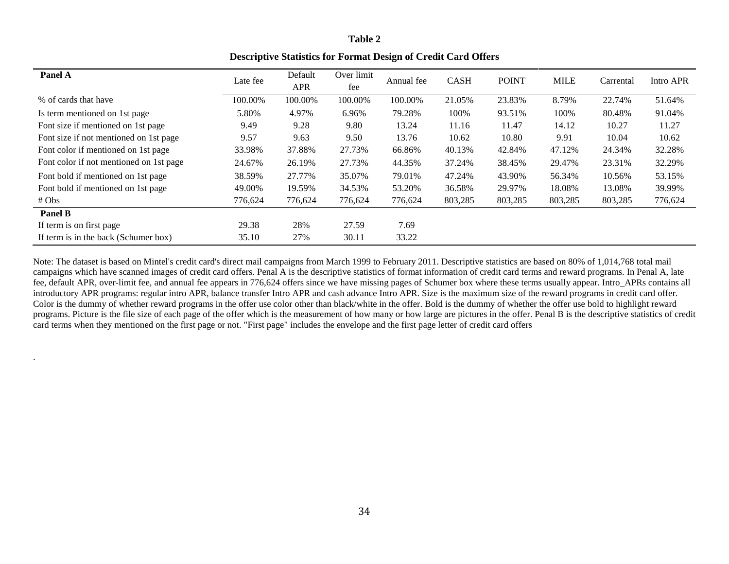| Descriptive Statistics for Format Design of Credit Card Offers |          |                       |                   |            |             |              |             |           |           |
|----------------------------------------------------------------|----------|-----------------------|-------------------|------------|-------------|--------------|-------------|-----------|-----------|
| Panel A                                                        | Late fee | Default<br><b>APR</b> | Over limit<br>fee | Annual fee | <b>CASH</b> | <b>POINT</b> | <b>MILE</b> | Carrental | Intro APR |
| % of cards that have                                           | 100.00%  | 100.00%               | 100.00%           | 100.00%    | 21.05%      | 23.83%       | 8.79%       | 22.74%    | 51.64%    |
| Is term mentioned on 1st page                                  | 5.80%    | 4.97%                 | 6.96%             | 79.28%     | 100%        | 93.51%       | 100%        | 80.48%    | 91.04%    |
| Font size if mentioned on 1st page                             | 9.49     | 9.28                  | 9.80              | 13.24      | 11.16       | 11.47        | 14.12       | 10.27     | 11.27     |
| Font size if not mentioned on 1st page                         | 9.57     | 9.63                  | 9.50              | 13.76      | 10.62       | 10.80        | 9.91        | 10.04     | 10.62     |
| Font color if mentioned on 1st page                            | 33.98%   | 37.88%                | 27.73%            | 66.86%     | 40.13%      | 42.84%       | 47.12%      | 24.34%    | 32.28%    |
| Font color if not mentioned on 1st page                        | 24.67%   | 26.19%                | 27.73%            | 44.35%     | 37.24%      | 38.45%       | 29.47%      | 23.31%    | 32.29%    |
| Font bold if mentioned on 1st page                             | 38.59%   | 27.77%                | 35.07%            | 79.01%     | 47.24%      | 43.90%       | 56.34%      | 10.56%    | 53.15%    |
| Font bold if mentioned on 1st page                             | 49.00%   | 19.59%                | 34.53%            | 53.20%     | 36.58%      | 29.97%       | 18.08%      | 13.08%    | 39.99%    |
| #Obs                                                           | 776,624  | 776,624               | 776,624           | 776,624    | 803,285     | 803,285      | 803,285     | 803,285   | 776,624   |
| Panel B                                                        |          |                       |                   |            |             |              |             |           |           |
| If term is on first page                                       | 29.38    | 28%                   | 27.59             | 7.69       |             |              |             |           |           |
| If term is in the back (Schumer box)                           | 35.10    | 27%                   | 30.11             | 33.22      |             |              |             |           |           |

**Table 2 Descriptive Statistics for Format Design of Credit Card Offers**

Note: The dataset is based on Mintel's credit card's direct mail campaigns from March 1999 to February 2011. Descriptive statistics are based on 80% of 1,014,768 total mail campaigns which have scanned images of credit card offers. Penal A is the descriptive statistics of format information of credit card terms and reward programs. In Penal A, late fee, default APR, over-limit fee, and annual fee appears in 776,624 offers since we have missing pages of Schumer box where these terms usually appear. Intro\_APRs contains all introductory APR programs: regular intro APR, balance transfer Intro APR and cash advance Intro APR. Size is the maximum size of the reward programs in credit card offer. Color is the dummy of whether reward programs in the offer use color other than black/white in the offer. Bold is the dummy of whether the offer use bold to highlight reward programs. Picture is the file size of each page of the offer which is the measurement of how many or how large are pictures in the offer. Penal B is the descriptive statistics of credit card terms when they mentioned on the first page or not. "First page" includes the envelope and the first page letter of credit card offers

.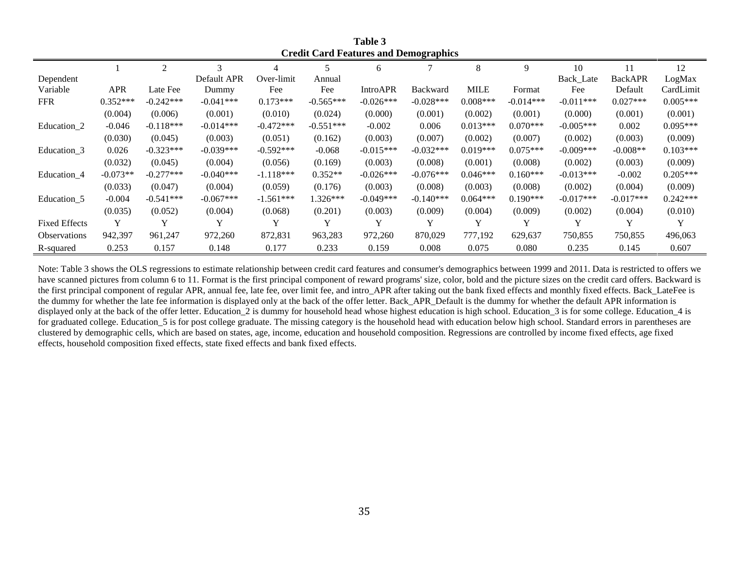**Table 3 Credit Card Features and Demographics**

|                      |            |             |             |             |             | 6               |                 | 8           | 9           | 10          |                | 12         |
|----------------------|------------|-------------|-------------|-------------|-------------|-----------------|-----------------|-------------|-------------|-------------|----------------|------------|
| Dependent            |            |             | Default APR | Over-limit  | Annual      |                 |                 |             |             | Back_Late   | <b>BackAPR</b> | LogMax     |
| Variable             | <b>APR</b> | Late Fee    | Dummy       | Fee         | Fee         | <b>IntroAPR</b> | <b>Backward</b> | <b>MILE</b> | Format      | Fee         | Default        | CardLimit  |
| <b>FFR</b>           | $0.352***$ | $-0.242***$ | $-0.041***$ | $0.173***$  | $-0.565***$ | $-0.026***$     | $-0.028***$     | $0.008***$  | $-0.014***$ | $-0.011***$ | $0.027***$     | $0.005***$ |
|                      | (0.004)    | (0.006)     | (0.001)     | (0.010)     | (0.024)     | (0.000)         | (0.001)         | (0.002)     | (0.001)     | (0.000)     | (0.001)        | (0.001)    |
| Education 2          | $-0.046$   | $-0.118***$ | $-0.014***$ | $-0.472***$ | $-0.551***$ | $-0.002$        | 0.006           | $0.013***$  | $0.070***$  | $-0.005***$ | 0.002          | $0.095***$ |
|                      | (0.030)    | (0.045)     | (0.003)     | (0.051)     | (0.162)     | (0.003)         | (0.007)         | (0.002)     | (0.007)     | (0.002)     | (0.003)        | (0.009)    |
| Education 3          | 0.026      | $-0.323***$ | $-0.039***$ | $-0.592***$ | $-0.068$    | $-0.015***$     | $-0.032***$     | $0.019***$  | $0.075***$  | $-0.009***$ | $-0.008**$     | $0.103***$ |
|                      | (0.032)    | (0.045)     | (0.004)     | (0.056)     | (0.169)     | (0.003)         | (0.008)         | (0.001)     | (0.008)     | (0.002)     | (0.003)        | (0.009)    |
| Education 4          | $-0.073**$ | $-0.277***$ | $-0.040***$ | $-1.118***$ | $0.352**$   | $-0.026***$     | $-0.076***$     | $0.046***$  | $0.160***$  | $-0.013***$ | $-0.002$       | $0.205***$ |
|                      | (0.033)    | (0.047)     | (0.004)     | (0.059)     | (0.176)     | (0.003)         | (0.008)         | (0.003)     | (0.008)     | (0.002)     | (0.004)        | (0.009)    |
| Education_5          | $-0.004$   | $-0.541***$ | $-0.067***$ | $-1.561***$ | 1.326***    | $-0.049***$     | $-0.140***$     | $0.064***$  | $0.190***$  | $-0.017***$ | $-0.017***$    | $0.242***$ |
|                      | (0.035)    | (0.052)     | (0.004)     | (0.068)     | (0.201)     | (0.003)         | (0.009)         | (0.004)     | (0.009)     | (0.002)     | (0.004)        | (0.010)    |
| <b>Fixed Effects</b> | Y          | Y           |             | v           | Y           | Y               | v               | $\mathbf v$ |             | Y           |                | Y          |
| <b>Observations</b>  | 942,397    | 961,247     | 972,260     | 872,831     | 963,283     | 972,260         | 870,029         | 777,192     | 629,637     | 750,855     | 750,855        | 496,063    |
| R-squared            | 0.253      | 0.157       | 0.148       | 0.177       | 0.233       | 0.159           | 0.008           | 0.075       | 0.080       | 0.235       | 0.145          | 0.607      |

Note: Table 3 shows the OLS regressions to estimate relationship between credit card features and consumer's demographics between 1999 and 2011. Data is restricted to offers we have scanned pictures from column 6 to 11. Format is the first principal component of reward programs' size, color, bold and the picture sizes on the credit card offers. Backward is the first principal component of regular APR, annual fee, late fee, over limit fee, and intro\_APR after taking out the bank fixed effects and monthly fixed effects. Back\_LateFee is the dummy for whether the late fee information is displayed only at the back of the offer letter. Back\_APR\_Default is the dummy for whether the default APR information is displayed only at the back of the offer letter. Education 2 is dummy for household head whose highest education is high school. Education 3 is for some college. Education 4 is for graduated college. Education\_5 is for post college graduate. The missing category is the household head with education below high school. Standard errors in parentheses are clustered by demographic cells, which are based on states, age, income, education and household composition. Regressions are controlled by income fixed effects, age fixed effects, household composition fixed effects, state fixed effects and bank fixed effects.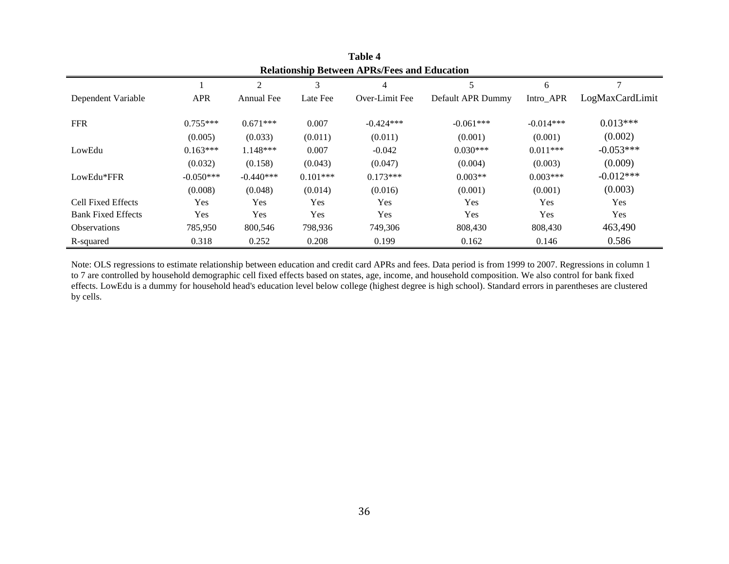| <b>Relationship Between APRs/Fees and Education</b> |             |             |            |                |                   |             |                 |  |
|-----------------------------------------------------|-------------|-------------|------------|----------------|-------------------|-------------|-----------------|--|
|                                                     |             | 2           | 3          | 4              |                   | 6           |                 |  |
| Dependent Variable                                  | <b>APR</b>  | Annual Fee  | Late Fee   | Over-Limit Fee | Default APR Dummy | Intro APR   | LogMaxCardLimit |  |
| <b>FFR</b>                                          | $0.755***$  | $0.671***$  | 0.007      | $-0.424***$    | $-0.061***$       | $-0.014***$ | $0.013***$      |  |
|                                                     | (0.005)     | (0.033)     | (0.011)    | (0.011)        | (0.001)           | (0.001)     | (0.002)         |  |
| LowEdu                                              | $0.163***$  | $1.148***$  | 0.007      | $-0.042$       | $0.030***$        | $0.011***$  | $-0.053***$     |  |
|                                                     | (0.032)     | (0.158)     | (0.043)    | (0.047)        | (0.004)           | (0.003)     | (0.009)         |  |
| $LowEdu*FFR$                                        | $-0.050***$ | $-0.440***$ | $0.101***$ | $0.173***$     | $0.003**$         | $0.003***$  | $-0.012***$     |  |
|                                                     | (0.008)     | (0.048)     | (0.014)    | (0.016)        | (0.001)           | (0.001)     | (0.003)         |  |
| Cell Fixed Effects                                  | Yes         | Yes         | Yes        | Yes            | Yes               | Yes         | Yes             |  |
| <b>Bank Fixed Effects</b>                           | <b>Yes</b>  | Yes         | Yes        | Yes            | Yes               | <b>Yes</b>  | Yes             |  |
| <b>Observations</b>                                 | 785,950     | 800,546     | 798,936    | 749,306        | 808,430           | 808,430     | 463,490         |  |
| R-squared                                           | 0.318       | 0.252       | 0.208      | 0.199          | 0.162             | 0.146       | 0.586           |  |

**Table 4**

Note: OLS regressions to estimate relationship between education and credit card APRs and fees. Data period is from 1999 to 2007. Regressions in column 1 to 7 are controlled by household demographic cell fixed effects based on states, age, income, and household composition. We also control for bank fixed effects. LowEdu is a dummy for household head's education level below college (highest degree is high school). Standard errors in parentheses are clustered by cells.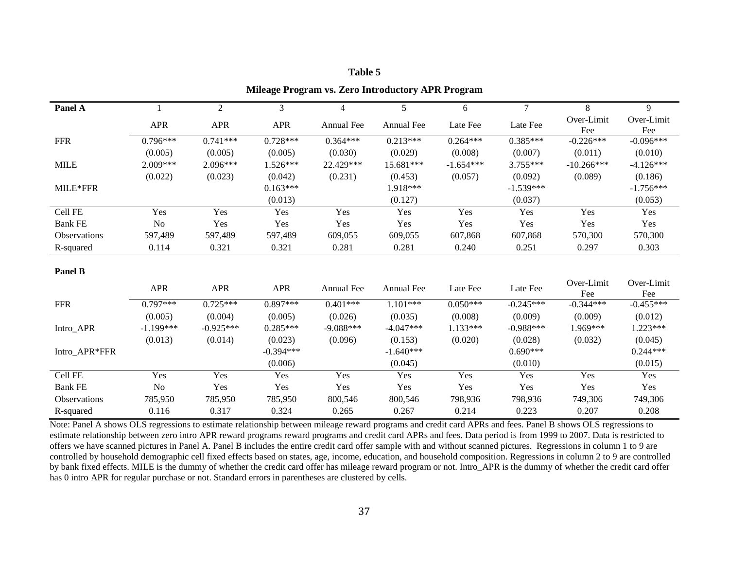| Panel A             |                | $\overline{2}$ | 3           | $\overline{4}$ | $5\overline{)}$ | 6           | 7           | 8                 | 9                 |
|---------------------|----------------|----------------|-------------|----------------|-----------------|-------------|-------------|-------------------|-------------------|
|                     | <b>APR</b>     | <b>APR</b>     | <b>APR</b>  | Annual Fee     | Annual Fee      | Late Fee    | Late Fee    | Over-Limit        | Over-Limit        |
|                     |                |                |             |                |                 |             |             | Fee               | Fee               |
| <b>FFR</b>          | $0.796***$     | $0.741***$     | $0.728***$  | $0.364***$     | $0.213***$      | $0.264***$  | $0.385***$  | $-0.226***$       | $-0.096***$       |
|                     | (0.005)        | (0.005)        | (0.005)     | (0.030)        | (0.029)         | (0.008)     | (0.007)     | (0.011)           | (0.010)           |
| <b>MILE</b>         | 2.009***       | 2.096***       | 1.526***    | 22.429***      | 15.681***       | $-1.654***$ | 3.755***    | $-10.266***$      | $-4.126***$       |
|                     | (0.022)        | (0.023)        | (0.042)     | (0.231)        | (0.453)         | (0.057)     | (0.092)     | (0.089)           | (0.186)           |
| MILE*FFR            |                |                | $0.163***$  |                | 1.918***        |             | $-1.539***$ |                   | $-1.756***$       |
|                     |                |                | (0.013)     |                | (0.127)         |             | (0.037)     |                   | (0.053)           |
| Cell FE             | Yes            | Yes            | Yes         | Yes            | Yes             | Yes         | Yes         | Yes               | Yes               |
| <b>Bank FE</b>      | No             | Yes            | Yes         | Yes            | Yes             | Yes         | Yes         | Yes               | Yes               |
| <b>Observations</b> | 597,489        | 597,489        | 597,489     | 609,055        | 609,055         | 607,868     | 607,868     | 570,300           | 570,300           |
| R-squared           | 0.114          | 0.321          | 0.321       | 0.281          | 0.281           | 0.240       | 0.251       | 0.297             | 0.303             |
|                     |                |                |             |                |                 |             |             |                   |                   |
| Panel B             |                |                |             |                |                 |             |             |                   |                   |
|                     | <b>APR</b>     | <b>APR</b>     | <b>APR</b>  | Annual Fee     | Annual Fee      | Late Fee    | Late Fee    | Over-Limit<br>Fee | Over-Limit<br>Fee |
| <b>FFR</b>          | $0.797***$     | $0.725***$     | $0.897***$  | $0.401***$     | $1.101***$      | $0.050***$  | $-0.245***$ | $-0.344***$       | $-0.455***$       |
|                     | (0.005)        | (0.004)        | (0.005)     | (0.026)        | (0.035)         | (0.008)     | (0.009)     | (0.009)           | (0.012)           |
| Intro_APR           | $-1.199***$    | $-0.925***$    | $0.285***$  | $-9.088***$    | $-4.047***$     | 1.133***    | $-0.988***$ | 1.969***          | $1.223***$        |
|                     | (0.013)        | (0.014)        | (0.023)     | (0.096)        | (0.153)         | (0.020)     | (0.028)     | (0.032)           | (0.045)           |
| Intro_APR*FFR       |                |                | $-0.394***$ |                | $-1.640***$     |             | $0.690***$  |                   | $0.244***$        |
|                     |                |                | (0.006)     |                | (0.045)         |             | (0.010)     |                   | (0.015)           |
| Cell FE             | Yes            | Yes            | Yes         | Yes            | Yes             | Yes         | Yes         | Yes               | Yes               |
| <b>Bank FE</b>      | N <sub>o</sub> | Yes            | Yes         | Yes            | Yes             | Yes         | Yes         | Yes               | Yes               |
| Observations        | 785,950        | 785,950        | 785,950     | 800,546        | 800,546         | 798,936     | 798,936     | 749,306           | 749,306           |
| R-squared           | 0.116          | 0.317          | 0.324       | 0.265          | 0.267           | 0.214       | 0.223       | 0.207             | 0.208             |

|                                                          | Table 5 |  |
|----------------------------------------------------------|---------|--|
| <b>Mileage Program vs. Zero Introductory APR Program</b> |         |  |

Note: Panel A shows OLS regressions to estimate relationship between mileage reward programs and credit card APRs and fees. Panel B shows OLS regressions to estimate relationship between zero intro APR reward programs reward programs and credit card APRs and fees. Data period is from 1999 to 2007. Data is restricted to offers we have scanned pictures in Panel A. Panel B includes the entire credit card offer sample with and without scanned pictures. Regressions in column 1 to 9 are controlled by household demographic cell fixed effects based on states, age, income, education, and household composition. Regressions in column 2 to 9 are controlled by bank fixed effects. MILE is the dummy of whether the credit card offer has mileage reward program or not. Intro\_APR is the dummy of whether the credit card offer has 0 intro APR for regular purchase or not. Standard errors in parentheses are clustered by cells.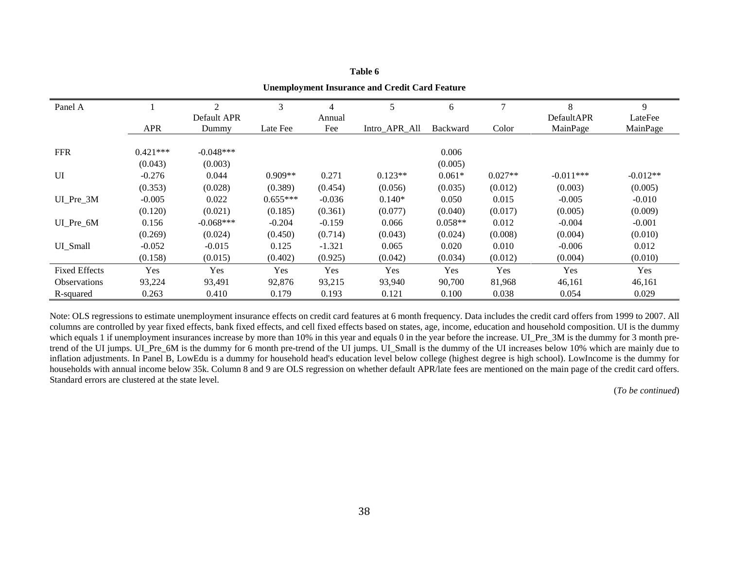| Panel A              |            | 2           | J.         | 4        | 5             | 6               |           | 8           | 9          |
|----------------------|------------|-------------|------------|----------|---------------|-----------------|-----------|-------------|------------|
|                      |            | Default APR |            | Annual   |               |                 |           | DefaultAPR  | LateFee    |
|                      | <b>APR</b> | Dummy       | Late Fee   | Fee      | Intro APR All | <b>Backward</b> | Color     | MainPage    | MainPage   |
|                      |            |             |            |          |               |                 |           |             |            |
| <b>FFR</b>           | $0.421***$ | $-0.048***$ |            |          |               | 0.006           |           |             |            |
|                      | (0.043)    | (0.003)     |            |          |               | (0.005)         |           |             |            |
| UI                   | $-0.276$   | 0.044       | $0.909**$  | 0.271    | $0.123**$     | $0.061*$        | $0.027**$ | $-0.011***$ | $-0.012**$ |
|                      | (0.353)    | (0.028)     | (0.389)    | (0.454)  | (0.056)       | (0.035)         | (0.012)   | (0.003)     | (0.005)    |
| UI_Pre_3M            | $-0.005$   | 0.022       | $0.655***$ | $-0.036$ | $0.140*$      | 0.050           | 0.015     | $-0.005$    | $-0.010$   |
|                      | (0.120)    | (0.021)     | (0.185)    | (0.361)  | (0.077)       | (0.040)         | (0.017)   | (0.005)     | (0.009)    |
| UI_Pre_6M            | 0.156      | $-0.068***$ | $-0.204$   | $-0.159$ | 0.066         | $0.058**$       | 0.012     | $-0.004$    | $-0.001$   |
|                      | (0.269)    | (0.024)     | (0.450)    | (0.714)  | (0.043)       | (0.024)         | (0.008)   | (0.004)     | (0.010)    |
| UI_Small             | $-0.052$   | $-0.015$    | 0.125      | $-1.321$ | 0.065         | 0.020           | 0.010     | $-0.006$    | 0.012      |
|                      | (0.158)    | (0.015)     | (0.402)    | (0.925)  | (0.042)       | (0.034)         | (0.012)   | (0.004)     | (0.010)    |
| <b>Fixed Effects</b> | Yes        | Yes         | Yes        | Yes      | Yes           | Yes             | Yes       | Yes         | Yes        |
| <b>Observations</b>  | 93,224     | 93,491      | 92,876     | 93,215   | 93,940        | 90,700          | 81,968    | 46,161      | 46,161     |
| R-squared            | 0.263      | 0.410       | 0.179      | 0.193    | 0.121         | 0.100           | 0.038     | 0.054       | 0.029      |

| Table 6                                               |  |  |  |  |  |  |
|-------------------------------------------------------|--|--|--|--|--|--|
| <b>Unemployment Insurance and Credit Card Feature</b> |  |  |  |  |  |  |

Note: OLS regressions to estimate unemployment insurance effects on credit card features at 6 month frequency. Data includes the credit card offers from 1999 to 2007. All columns are controlled by year fixed effects, bank fixed effects, and cell fixed effects based on states, age, income, education and household composition. UI is the dummy which equals 1 if unemployment insurances increase by more than 10% in this year and equals 0 in the year before the increase. UI\_Pre\_3M is the dummy for 3 month pretrend of the UI jumps. UI\_Pre\_6M is the dummy for 6 month pre-trend of the UI jumps. UI\_Small is the dummy of the UI increases below 10% which are mainly due to inflation adjustments. In Panel B, LowEdu is a dummy for household head's education level below college (highest degree is high school). LowIncome is the dummy for households with annual income below 35k. Column 8 and 9 are OLS regression on whether default APR/late fees are mentioned on the main page of the credit card offers. Standard errors are clustered at the state level.

(*To be continued*)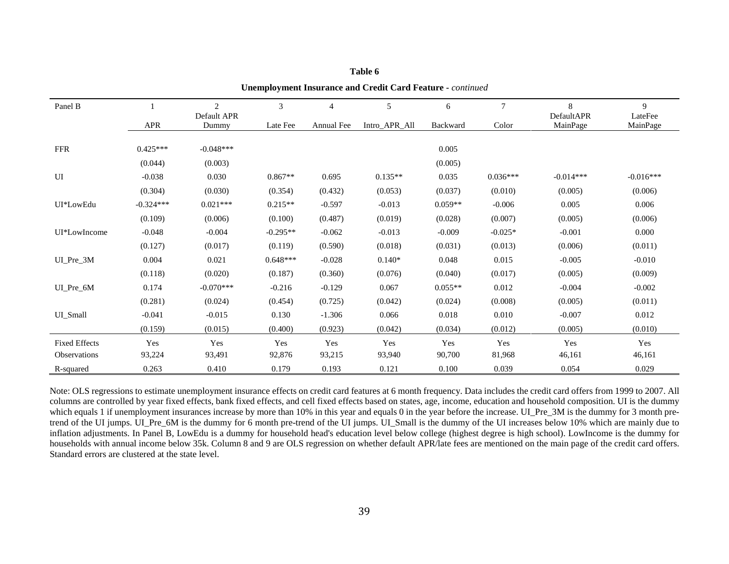| Panel B              |             | 2<br>Default APR | 3          | $\overline{4}$ | 5             | 6         | 7          | 8<br>DefaultAPR | 9<br>LateFee |
|----------------------|-------------|------------------|------------|----------------|---------------|-----------|------------|-----------------|--------------|
|                      | <b>APR</b>  | Dummy            | Late Fee   | Annual Fee     | Intro_APR_All | Backward  | Color      | MainPage        | MainPage     |
|                      |             |                  |            |                |               |           |            |                 |              |
| <b>FFR</b>           | $0.425***$  | $-0.048***$      |            |                |               | 0.005     |            |                 |              |
|                      | (0.044)     | (0.003)          |            |                |               | (0.005)   |            |                 |              |
| UI                   | $-0.038$    | 0.030            | $0.867**$  | 0.695          | $0.135**$     | 0.035     | $0.036***$ | $-0.014***$     | $-0.016***$  |
|                      | (0.304)     | (0.030)          | (0.354)    | (0.432)        | (0.053)       | (0.037)   | (0.010)    | (0.005)         | (0.006)      |
| UI*LowEdu            | $-0.324***$ | $0.021***$       | $0.215**$  | $-0.597$       | $-0.013$      | $0.059**$ | $-0.006$   | 0.005           | 0.006        |
|                      | (0.109)     | (0.006)          | (0.100)    | (0.487)        | (0.019)       | (0.028)   | (0.007)    | (0.005)         | (0.006)      |
| UI*LowIncome         | $-0.048$    | $-0.004$         | $-0.295**$ | $-0.062$       | $-0.013$      | $-0.009$  | $-0.025*$  | $-0.001$        | 0.000        |
|                      | (0.127)     | (0.017)          | (0.119)    | (0.590)        | (0.018)       | (0.031)   | (0.013)    | (0.006)         | (0.011)      |
| UI_Pre_3M            | 0.004       | 0.021            | $0.648***$ | $-0.028$       | $0.140*$      | 0.048     | 0.015      | $-0.005$        | $-0.010$     |
|                      | (0.118)     | (0.020)          | (0.187)    | (0.360)        | (0.076)       | (0.040)   | (0.017)    | (0.005)         | (0.009)      |
| UI_Pre_6M            | 0.174       | $-0.070***$      | $-0.216$   | $-0.129$       | 0.067         | $0.055**$ | 0.012      | $-0.004$        | $-0.002$     |
|                      | (0.281)     | (0.024)          | (0.454)    | (0.725)        | (0.042)       | (0.024)   | (0.008)    | (0.005)         | (0.011)      |
| UI_Small             | $-0.041$    | $-0.015$         | 0.130      | $-1.306$       | 0.066         | 0.018     | 0.010      | $-0.007$        | 0.012        |
|                      | (0.159)     | (0.015)          | (0.400)    | (0.923)        | (0.042)       | (0.034)   | (0.012)    | (0.005)         | (0.010)      |
| <b>Fixed Effects</b> | Yes         | Yes              | Yes        | Yes            | Yes           | Yes       | Yes        | Yes             | Yes          |
| Observations         | 93,224      | 93,491           | 92,876     | 93,215         | 93,940        | 90,700    | 81,968     | 46,161          | 46,161       |
| R-squared            | 0.263       | 0.410            | 0.179      | 0.193          | 0.121         | 0.100     | 0.039      | 0.054           | 0.029        |

| Table 6                                                           |  |
|-------------------------------------------------------------------|--|
| <b>Unemployment Insurance and Credit Card Feature - continued</b> |  |

Note: OLS regressions to estimate unemployment insurance effects on credit card features at 6 month frequency. Data includes the credit card offers from 1999 to 2007. All columns are controlled by year fixed effects, bank fixed effects, and cell fixed effects based on states, age, income, education and household composition. UI is the dummy which equals 1 if unemployment insurances increase by more than 10% in this year and equals 0 in the year before the increase. UI\_Pre\_3M is the dummy for 3 month pretrend of the UI jumps. UI\_Pre\_6M is the dummy for 6 month pre-trend of the UI jumps. UI\_Small is the dummy of the UI increases below 10% which are mainly due to inflation adjustments. In Panel B, LowEdu is a dummy for household head's education level below college (highest degree is high school). LowIncome is the dummy for households with annual income below 35k. Column 8 and 9 are OLS regression on whether default APR/late fees are mentioned on the main page of the credit card offers. Standard errors are clustered at the state level.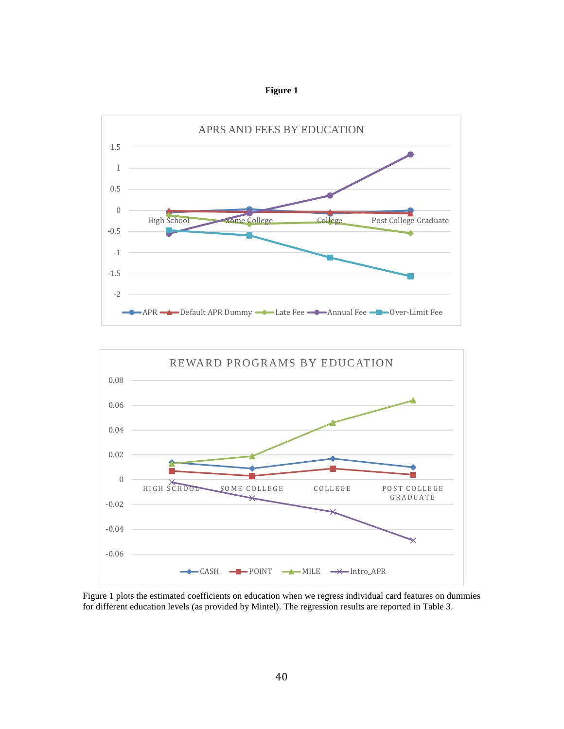





Figure 1 plots the estimated coefficients on education when we regress individual card features on dummies for different education levels (as provided by Mintel). The regression results are reported in Table 3.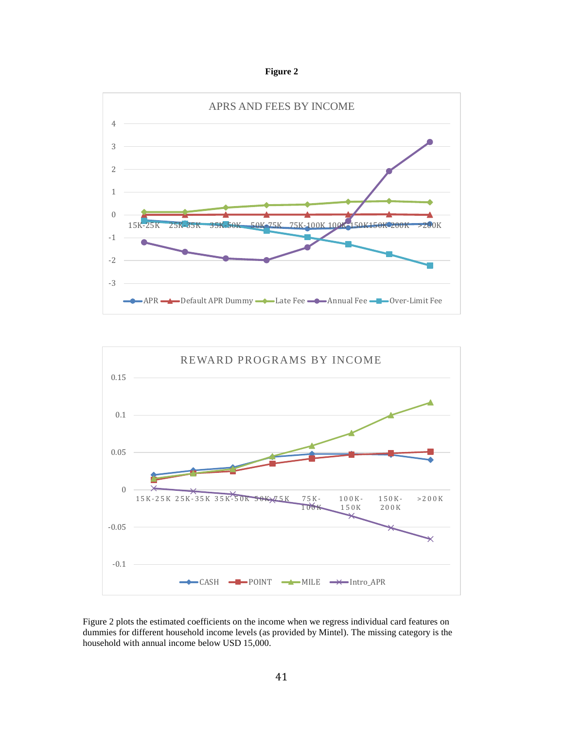**Figure 2**





Figure 2 plots the estimated coefficients on the income when we regress individual card features on dummies for different household income levels (as provided by Mintel). The missing category is the household with annual income below USD 15,000.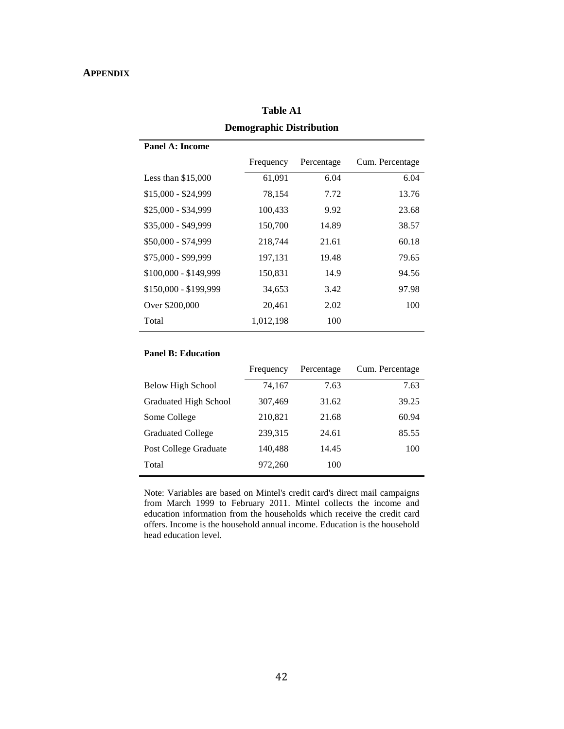## **APPENDIX**

| Panel A: Income       |           |            |                 |
|-----------------------|-----------|------------|-----------------|
|                       | Frequency | Percentage | Cum. Percentage |
| Less than $$15,000$   | 61,091    | 6.04       | 6.04            |
| $$15,000 - $24,999$   | 78,154    | 7.72       | 13.76           |
| \$25,000 - \$34,999   | 100,433   | 9.92       | 23.68           |
| $$35,000 - $49,999$   | 150,700   | 14.89      | 38.57           |
| $$50,000 - $74,999$   | 218,744   | 21.61      | 60.18           |
| \$75,000 - \$99,999   | 197,131   | 19.48      | 79.65           |
| $$100,000 - $149,999$ | 150,831   | 14.9       | 94.56           |
| $$150,000 - $199,999$ | 34,653    | 3.42       | 97.98           |
| Over \$200,000        | 20,461    | 2.02       | 100             |
| Total                 | 1,012,198 | 100        |                 |

**Table A1 Demographic Distribution**

#### **Panel B: Education**

|                              | Frequency | Percentage | Cum. Percentage |
|------------------------------|-----------|------------|-----------------|
| Below High School            | 74.167    | 7.63       | 7.63            |
| <b>Graduated High School</b> | 307,469   | 31.62      | 39.25           |
| Some College                 | 210,821   | 21.68      | 60.94           |
| <b>Graduated College</b>     | 239,315   | 24.61      | 85.55           |
| Post College Graduate        | 140.488   | 14.45      | 100             |
| Total                        | 972,260   | 100        |                 |

Note: Variables are based on Mintel's credit card's direct mail campaigns from March 1999 to February 2011. Mintel collects the income and education information from the households which receive the credit card offers. Income is the household annual income. Education is the household head education level.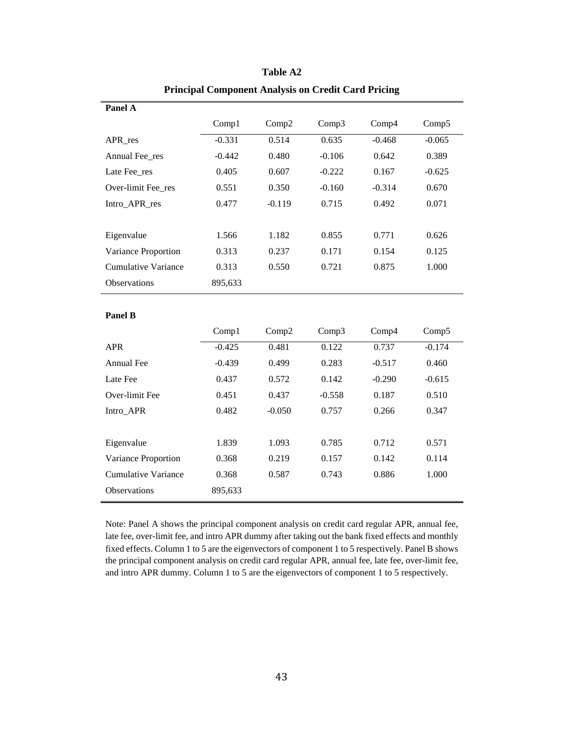| Panel A                    |          |          |          |          |          |
|----------------------------|----------|----------|----------|----------|----------|
|                            | Comp1    | Comp2    | Comp3    | Comp4    | Comp5    |
| APR_res                    | $-0.331$ | 0.514    | 0.635    | $-0.468$ | $-0.065$ |
| Annual Fee_res             | $-0.442$ | 0.480    | $-0.106$ | 0.642    | 0.389    |
| Late Fee_res               | 0.405    | 0.607    | $-0.222$ | 0.167    | $-0.625$ |
| Over-limit Fee_res         | 0.551    | 0.350    | $-0.160$ | $-0.314$ | 0.670    |
| Intro_APR_res              | 0.477    | $-0.119$ | 0.715    | 0.492    | 0.071    |
|                            |          |          |          |          |          |
| Eigenvalue                 | 1.566    | 1.182    | 0.855    | 0.771    | 0.626    |
| Variance Proportion        | 0.313    | 0.237    | 0.171    | 0.154    | 0.125    |
| <b>Cumulative Variance</b> | 0.313    | 0.550    | 0.721    | 0.875    | 1.000    |
| Observations               | 895,633  |          |          |          |          |
|                            |          |          |          |          |          |
| Panel B                    |          |          |          |          |          |
|                            | Comp1    | Comp2    | Comp3    | Comp4    | Comp5    |
| <b>APR</b>                 | $-0.425$ | 0.481    | 0.122    | 0.737    | $-0.174$ |
| <b>Annual Fee</b>          | $-0.439$ | 0.499    | 0.283    | $-0.517$ | 0.460    |
| Late Fee                   | 0.437    | 0.572    | 0.142    | $-0.290$ | $-0.615$ |
| Over-limit Fee             | 0.451    | 0.437    | $-0.558$ | 0.187    | 0.510    |
| Intro_APR                  | 0.482    | $-0.050$ | 0.757    | 0.266    | 0.347    |
|                            |          |          |          |          |          |
| Eigenvalue                 | 1.839    | 1.093    | 0.785    | 0.712    | 0.571    |
| Variance Proportion        | 0.368    | 0.219    | 0.157    | 0.142    | 0.114    |
| <b>Cumulative Variance</b> | 0.368    | 0.587    | 0.743    | 0.886    | 1.000    |
| Observations               | 895,633  |          |          |          |          |

**Table A2 Principal Component Analysis on Credit Card Pricing**

Note: Panel A shows the principal component analysis on credit card regular APR, annual fee, late fee, over-limit fee, and intro APR dummy after taking out the bank fixed effects and monthly fixed effects. Column 1 to 5 are the eigenvectors of component 1 to 5 respectively. Panel B shows the principal component analysis on credit card regular APR, annual fee, late fee, over-limit fee, and intro APR dummy. Column 1 to 5 are the eigenvectors of component 1 to 5 respectively.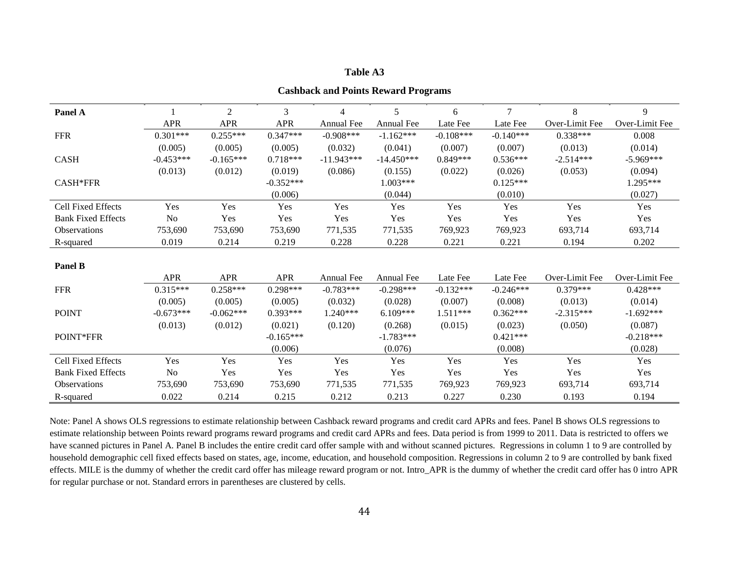| Casiiback and I bints Reward I rograms |             |                |                |                |              |             |                |                |                |  |  |
|----------------------------------------|-------------|----------------|----------------|----------------|--------------|-------------|----------------|----------------|----------------|--|--|
| Panel A                                |             | $\overline{2}$ | $\overline{3}$ | $\overline{4}$ | 5            | 6           | $\overline{7}$ | 8              | 9              |  |  |
|                                        | <b>APR</b>  | <b>APR</b>     | <b>APR</b>     | Annual Fee     | Annual Fee   | Late Fee    | Late Fee       | Over-Limit Fee | Over-Limit Fee |  |  |
| <b>FFR</b>                             | $0.301***$  | $0.255***$     | $0.347***$     | $-0.908***$    | $-1.162***$  | $-0.108***$ | $-0.140***$    | $0.338***$     | 0.008          |  |  |
|                                        | (0.005)     | (0.005)        | (0.005)        | (0.032)        | (0.041)      | (0.007)     | (0.007)        | (0.013)        | (0.014)        |  |  |
| <b>CASH</b>                            | $-0.453***$ | $-0.165***$    | $0.718***$     | $-11.943***$   | $-14.450***$ | $0.849***$  | $0.536***$     | $-2.514***$    | $-5.969***$    |  |  |
|                                        | (0.013)     | (0.012)        | (0.019)        | (0.086)        | (0.155)      | (0.022)     | (0.026)        | (0.053)        | (0.094)        |  |  |
| <b>CASH*FFR</b>                        |             |                | $-0.352***$    |                | $1.003***$   |             | $0.125***$     |                | 1.295***       |  |  |
|                                        |             |                | (0.006)        |                | (0.044)      |             | (0.010)        |                | (0.027)        |  |  |
| <b>Cell Fixed Effects</b>              | Yes         | Yes            | Yes            | Yes            | Yes          | Yes         | Yes            | Yes            | Yes            |  |  |
| <b>Bank Fixed Effects</b>              | No          | Yes            | Yes            | Yes            | Yes          | Yes         | Yes            | Yes            | Yes            |  |  |
| <b>Observations</b>                    | 753,690     | 753,690        | 753,690        | 771,535        | 771,535      | 769,923     | 769,923        | 693,714        | 693,714        |  |  |
| R-squared                              | 0.019       | 0.214          | 0.219          | 0.228          | 0.228        | 0.221       | 0.221          | 0.194          | 0.202          |  |  |
|                                        |             |                |                |                |              |             |                |                |                |  |  |
| Panel B                                |             |                |                |                |              |             |                |                |                |  |  |
|                                        | <b>APR</b>  | <b>APR</b>     | <b>APR</b>     | Annual Fee     | Annual Fee   | Late Fee    | Late Fee       | Over-Limit Fee | Over-Limit Fee |  |  |
| <b>FFR</b>                             | $0.315***$  | $0.258***$     | $0.298***$     | $-0.783***$    | $-0.298***$  | $-0.132***$ | $-0.246***$    | $0.379***$     | $0.428***$     |  |  |
|                                        | (0.005)     | (0.005)        | (0.005)        | (0.032)        | (0.028)      | (0.007)     | (0.008)        | (0.013)        | (0.014)        |  |  |
| <b>POINT</b>                           | $-0.673***$ | $-0.062***$    | $0.393***$     | $1.240***$     | $6.109***$   | 1.511***    | $0.362***$     | $-2.315***$    | $-1.692***$    |  |  |
|                                        | (0.013)     | (0.012)        | (0.021)        | (0.120)        | (0.268)      | (0.015)     | (0.023)        | (0.050)        | (0.087)        |  |  |
| POINT*FFR                              |             |                | $-0.165***$    |                | $-1.783***$  |             | $0.421***$     |                | $-0.218***$    |  |  |
|                                        |             |                | (0.006)        |                | (0.076)      |             | (0.008)        |                | (0.028)        |  |  |
| <b>Cell Fixed Effects</b>              | Yes         | Yes            | Yes            | Yes            | Yes          | Yes         | Yes            | Yes            | Yes            |  |  |
| <b>Bank Fixed Effects</b>              | No          | Yes            | Yes            | Yes            | Yes          | Yes         | Yes            | Yes            | Yes            |  |  |
| Observations                           | 753,690     | 753,690        | 753,690        | 771,535        | 771,535      | 769,923     | 769,923        | 693,714        | 693,714        |  |  |
| R-squared                              | 0.022       | 0.214          | 0.215          | 0.212          | 0.213        | 0.227       | 0.230          | 0.193          | 0.194          |  |  |

| Table A3                                   |
|--------------------------------------------|
| <b>Cashback and Points Reward Programs</b> |

Note: Panel A shows OLS regressions to estimate relationship between Cashback reward programs and credit card APRs and fees. Panel B shows OLS regressions to estimate relationship between Points reward programs reward programs and credit card APRs and fees. Data period is from 1999 to 2011. Data is restricted to offers we have scanned pictures in Panel A. Panel B includes the entire credit card offer sample with and without scanned pictures. Regressions in column 1 to 9 are controlled by household demographic cell fixed effects based on states, age, income, education, and household composition. Regressions in column 2 to 9 are controlled by bank fixed effects. MILE is the dummy of whether the credit card offer has mileage reward program or not. Intro\_APR is the dummy of whether the credit card offer has 0 intro APR for regular purchase or not. Standard errors in parentheses are clustered by cells.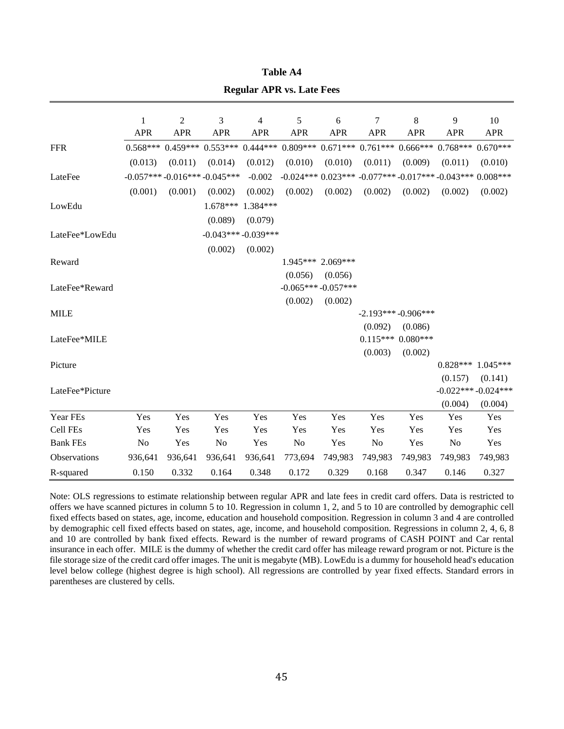|                 | $\mathbf{1}$   | $\overline{2}$ | 3                             | $\overline{4}$ | 5          | 6                    | 7              | 8                     | 9                                                                                                             | 10                   |
|-----------------|----------------|----------------|-------------------------------|----------------|------------|----------------------|----------------|-----------------------|---------------------------------------------------------------------------------------------------------------|----------------------|
|                 | <b>APR</b>     | <b>APR</b>     | <b>APR</b>                    | <b>APR</b>     | <b>APR</b> | <b>APR</b>           | <b>APR</b>     | <b>APR</b>            | <b>APR</b>                                                                                                    | <b>APR</b>           |
| <b>FFR</b>      |                |                |                               |                |            |                      |                |                       | $0.568***$ $0.459***$ $0.553***$ $0.444***$ $0.809***$ $0.671***$ $0.761***$ $0.666***$ $0.768***$ $0.670***$ |                      |
|                 | (0.013)        | (0.011)        | (0.014)                       | (0.012)        | (0.010)    | (0.010)              | (0.011)        | (0.009)               | (0.011)                                                                                                       | (0.010)              |
| LateFee         |                |                | $-0.057***-0.016***-0.045***$ | $-0.002$       |            |                      |                |                       | $-0.024***0.023***-0.077***-0.017***-0.043***0.008***$                                                        |                      |
|                 | (0.001)        | (0.001)        | (0.002)                       | (0.002)        | (0.002)    | (0.002)              | (0.002)        | (0.002)               | (0.002)                                                                                                       | (0.002)              |
| LowEdu          |                |                | $1.678***$                    | 1.384***       |            |                      |                |                       |                                                                                                               |                      |
|                 |                |                | (0.089)                       | (0.079)        |            |                      |                |                       |                                                                                                               |                      |
| LateFee*LowEdu  |                |                | $-0.043***-0.039***$          |                |            |                      |                |                       |                                                                                                               |                      |
|                 |                |                | (0.002)                       | (0.002)        |            |                      |                |                       |                                                                                                               |                      |
| Reward          |                |                |                               |                |            | $1.945***$ 2.069***  |                |                       |                                                                                                               |                      |
|                 |                |                |                               |                | (0.056)    | (0.056)              |                |                       |                                                                                                               |                      |
| LateFee*Reward  |                |                |                               |                |            | $-0.065***-0.057***$ |                |                       |                                                                                                               |                      |
|                 |                |                |                               |                | (0.002)    | (0.002)              |                |                       |                                                                                                               |                      |
| <b>MILE</b>     |                |                |                               |                |            |                      |                | $-2.193***-0.906***$  |                                                                                                               |                      |
|                 |                |                |                               |                |            |                      | (0.092)        | (0.086)               |                                                                                                               |                      |
| LateFee*MILE    |                |                |                               |                |            |                      |                | $0.115***$ $0.080***$ |                                                                                                               |                      |
|                 |                |                |                               |                |            |                      | (0.003)        | (0.002)               |                                                                                                               |                      |
| Picture         |                |                |                               |                |            |                      |                |                       |                                                                                                               | $0.828***$ 1.045***  |
|                 |                |                |                               |                |            |                      |                |                       | (0.157)                                                                                                       | (0.141)              |
| LateFee*Picture |                |                |                               |                |            |                      |                |                       |                                                                                                               | $-0.022***-0.024***$ |
|                 |                |                |                               |                |            |                      |                |                       | (0.004)                                                                                                       | (0.004)              |
| Year FEs        | Yes            | Yes            | Yes                           | Yes            | Yes        | Yes                  | Yes            | Yes                   | Yes                                                                                                           | Yes                  |
| Cell FEs        | Yes            | Yes            | Yes                           | Yes            | Yes        | Yes                  | Yes            | Yes                   | Yes                                                                                                           | Yes                  |
| <b>Bank FEs</b> | N <sub>o</sub> | Yes            | No                            | Yes            | No         | Yes                  | N <sub>o</sub> | Yes                   | N <sub>o</sub>                                                                                                | Yes                  |
| Observations    | 936,641        | 936,641        | 936,641                       | 936,641        | 773,694    | 749,983              | 749,983        | 749,983               | 749,983                                                                                                       | 749,983              |
| R-squared       | 0.150          | 0.332          | 0.164                         | 0.348          | 0.172      | 0.329                | 0.168          | 0.347                 | 0.146                                                                                                         | 0.327                |

|  | Table A4 |  |  |
|--|----------|--|--|
|  |          |  |  |

**Regular APR vs. Late Fees**

Note: OLS regressions to estimate relationship between regular APR and late fees in credit card offers. Data is restricted to offers we have scanned pictures in column 5 to 10. Regression in column 1, 2, and 5 to 10 are controlled by demographic cell fixed effects based on states, age, income, education and household composition. Regression in column 3 and 4 are controlled by demographic cell fixed effects based on states, age, income, and household composition. Regressions in column 2, 4, 6, 8 and 10 are controlled by bank fixed effects. Reward is the number of reward programs of CASH POINT and Car rental insurance in each offer. MILE is the dummy of whether the credit card offer has mileage reward program or not. Picture is the file storage size of the credit card offer images. The unit is megabyte (MB). LowEdu is a dummy for household head's education level below college (highest degree is high school). All regressions are controlled by year fixed effects. Standard errors in parentheses are clustered by cells.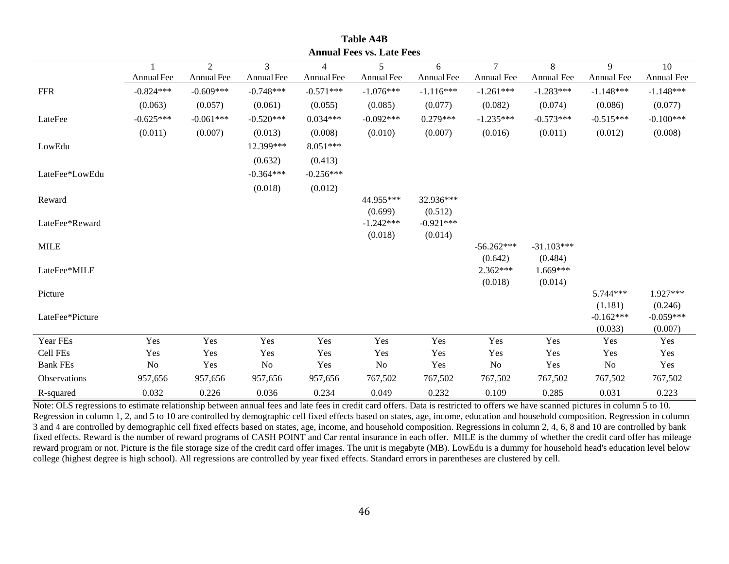| Allitual I cos vs. Late I cos |             |                |                |                          |                      |                      |                |              |             |             |  |
|-------------------------------|-------------|----------------|----------------|--------------------------|----------------------|----------------------|----------------|--------------|-------------|-------------|--|
|                               |             | $\overline{2}$ | $\overline{3}$ | $\overline{\mathcal{A}}$ | 5                    | 6                    | $\overline{7}$ | 8            | 9           | 10          |  |
|                               | Annual Fee  | Annual Fee     | Annual Fee     | Annual Fee               | Annual Fee           | Annual Fee           | Annual Fee     | Annual Fee   | Annual Fee  | Annual Fee  |  |
| <b>FFR</b>                    | $-0.824***$ | $-0.609***$    | $-0.748***$    | $-0.571***$              | $-1.076***$          | $-1.116***$          | $-1.261***$    | $-1.283***$  | $-1.148***$ | $-1.148***$ |  |
|                               | (0.063)     | (0.057)        | (0.061)        | (0.055)                  | (0.085)              | (0.077)              | (0.082)        | (0.074)      | (0.086)     | (0.077)     |  |
| LateFee                       | $-0.625***$ | $-0.061***$    | $-0.520***$    | $0.034***$               | $-0.092***$          | $0.279***$           | $-1.235***$    | $-0.573***$  | $-0.515***$ | $-0.100***$ |  |
|                               | (0.011)     | (0.007)        | (0.013)        | (0.008)                  | (0.010)              | (0.007)              | (0.016)        | (0.011)      | (0.012)     | (0.008)     |  |
| LowEdu                        |             |                | 12.399***      | $8.051***$               |                      |                      |                |              |             |             |  |
|                               |             |                | (0.632)        | (0.413)                  |                      |                      |                |              |             |             |  |
| LateFee*LowEdu                |             |                | $-0.364***$    | $-0.256***$              |                      |                      |                |              |             |             |  |
|                               |             |                | (0.018)        | (0.012)                  |                      |                      |                |              |             |             |  |
| Reward                        |             |                |                |                          | 44.955***<br>(0.699) | 32.936***<br>(0.512) |                |              |             |             |  |
| LateFee*Reward                |             |                |                |                          | $-1.242***$          | $-0.921***$          |                |              |             |             |  |
|                               |             |                |                |                          | (0.018)              | (0.014)              |                |              |             |             |  |
| <b>MILE</b>                   |             |                |                |                          |                      |                      | $-56.262***$   | $-31.103***$ |             |             |  |
|                               |             |                |                |                          |                      |                      | (0.642)        | (0.484)      |             |             |  |
| LateFee*MILE                  |             |                |                |                          |                      |                      | $2.362***$     | $1.669***$   |             |             |  |
| Picture                       |             |                |                |                          |                      |                      | (0.018)        | (0.014)      | 5.744***    | 1.927***    |  |
|                               |             |                |                |                          |                      |                      |                |              | (1.181)     | (0.246)     |  |
| LateFee*Picture               |             |                |                |                          |                      |                      |                |              | $-0.162***$ | $-0.059***$ |  |
|                               |             |                |                |                          |                      |                      |                |              | (0.033)     | (0.007)     |  |
| Year FEs                      | Yes         | Yes            | Yes            | Yes                      | Yes                  | Yes                  | Yes            | Yes          | Yes         | Yes         |  |
| Cell FEs                      | Yes         | Yes            | Yes            | Yes                      | Yes                  | Yes                  | Yes            | Yes          | Yes         | Yes         |  |
| <b>Bank FEs</b>               | No          | Yes            | No             | Yes                      | N <sub>o</sub>       | Yes                  | N <sub>0</sub> | Yes          | No          | Yes         |  |
| Observations                  | 957,656     | 957,656        | 957,656        | 957,656                  | 767,502              | 767,502              | 767,502        | 767,502      | 767,502     | 767,502     |  |
| R-squared                     | 0.032       | 0.226          | 0.036          | 0.234                    | 0.049                | 0.232                | 0.109          | 0.285        | 0.031       | 0.223       |  |

**Table A4B Annual Fees vs. Late Fees**

Note: OLS regressions to estimate relationship between annual fees and late fees in credit card offers. Data is restricted to offers we have scanned pictures in column 5 to 10. Regression in column 1, 2, and 5 to 10 are controlled by demographic cell fixed effects based on states, age, income, education and household composition. Regression in column 3 and 4 are controlled by demographic cell fixed effects based on states, age, income, and household composition. Regressions in column 2, 4, 6, 8 and 10 are controlled by bank fixed effects. Reward is the number of reward programs of CASH POINT and Car rental insurance in each offer. MILE is the dummy of whether the credit card offer has mileage reward program or not. Picture is the file storage size of the credit card offer images. The unit is megabyte (MB). LowEdu is a dummy for household head's education level below college (highest degree is high school). All regressions are controlled by year fixed effects. Standard errors in parentheses are clustered by cell.